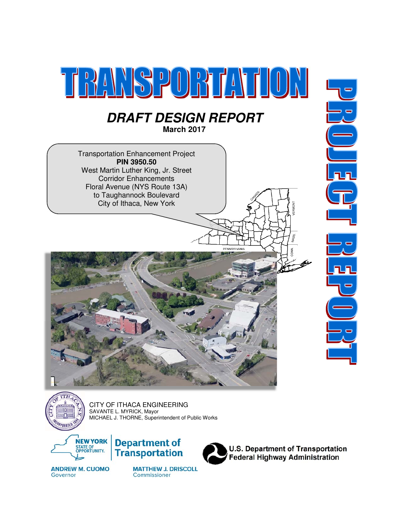





CITY OF ITHACA ENGINEERING SAVANTE L. MYRICK, Mayor MICHAEL J. THORNE, Superintendent of Public Works







**U.S. Department of Transportation Federal Highway Administration** 

**ANDREW M. CUOMO** Governor

**MATTHEW J. DRISCOLL** Commissioner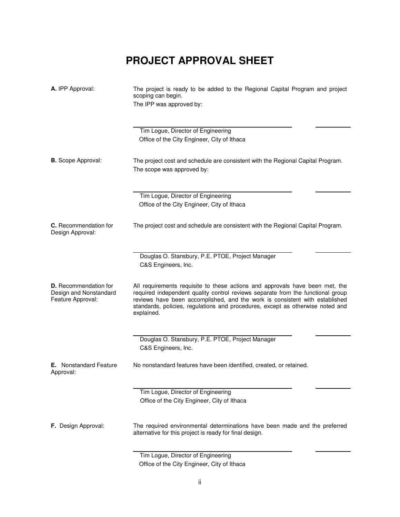# **PROJECT APPROVAL SHEET**

| A. IPP Approval:                                                            | The project is ready to be added to the Regional Capital Program and project<br>scoping can begin.<br>The IPP was approved by:                                                                                                                                                                                                                 |
|-----------------------------------------------------------------------------|------------------------------------------------------------------------------------------------------------------------------------------------------------------------------------------------------------------------------------------------------------------------------------------------------------------------------------------------|
|                                                                             | Tim Logue, Director of Engineering<br>Office of the City Engineer, City of Ithaca                                                                                                                                                                                                                                                              |
| <b>B.</b> Scope Approval:                                                   | The project cost and schedule are consistent with the Regional Capital Program.<br>The scope was approved by:                                                                                                                                                                                                                                  |
|                                                                             | Tim Logue, Director of Engineering<br>Office of the City Engineer, City of Ithaca                                                                                                                                                                                                                                                              |
| <b>C.</b> Recommendation for<br>Design Approval:                            | The project cost and schedule are consistent with the Regional Capital Program.                                                                                                                                                                                                                                                                |
|                                                                             | Douglas O. Stansbury, P.E. PTOE, Project Manager<br>C&S Engineers, Inc.                                                                                                                                                                                                                                                                        |
| <b>D.</b> Recommendation for<br>Design and Nonstandard<br>Feature Approval: | All requirements requisite to these actions and approvals have been met, the<br>required independent quality control reviews separate from the functional group<br>reviews have been accomplished, and the work is consistent with established<br>standards, policies, regulations and procedures, except as otherwise noted and<br>explained. |
|                                                                             | Douglas O. Stansbury, P.E. PTOE, Project Manager<br>C&S Engineers, Inc.                                                                                                                                                                                                                                                                        |
| <b>E.</b> Nonstandard Feature<br>Approval:                                  | No nonstandard features have been identified, created, or retained.                                                                                                                                                                                                                                                                            |
|                                                                             | Tim Logue, Director of Engineering<br>Office of the City Engineer, City of Ithaca                                                                                                                                                                                                                                                              |
| F. Design Approval:                                                         | The required environmental determinations have been made and the preferred<br>alternative for this project is ready for final design.                                                                                                                                                                                                          |
|                                                                             | Tim Logue, Director of Engineering                                                                                                                                                                                                                                                                                                             |

Office of the City Engineer, City of Ithaca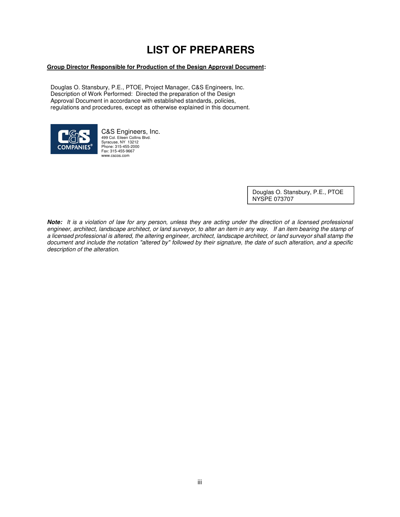# **LIST OF PREPARERS**

#### **Group Director Responsible for Production of the Design Approval Document:**

Douglas O. Stansbury, P.E., PTOE, Project Manager, C&S Engineers, Inc. Description of Work Performed: Directed the preparation of the Design Approval Document in accordance with established standards, policies, regulations and procedures, except as otherwise explained in this document.



C&S Engineers, Inc. 499 Col. Eileen Collins Blvd. Syracuse, NY 13212 Phone: 315-455-2000 Fax: 315-455-9667 www.cscos.com

> Douglas O. Stansbury, P.E., PTOE NYSPE 073707

**Note:** It is a violation of law for any person, unless they are acting under the direction of a licensed professional engineer, architect, landscape architect, or land surveyor, to alter an item in any way. If an item bearing the stamp of a licensed professional is altered, the altering engineer, architect, landscape architect, or land surveyor shall stamp the document and include the notation "altered by" followed by their signature, the date of such alteration, and a specific description of the alteration.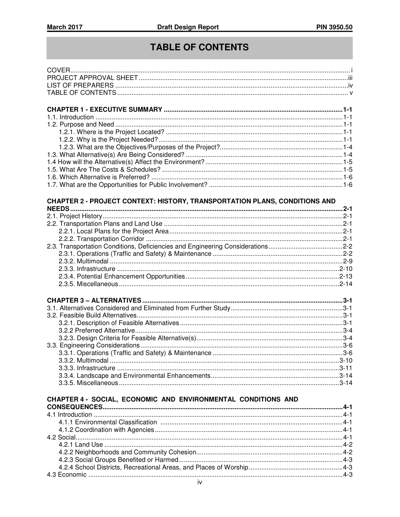# TABLE OF CONTENTS

| CHAPTER 2 - PROJECT CONTEXT: HISTORY, TRANSPORTATION PLANS, CONDITIONS AND     |  |
|--------------------------------------------------------------------------------|--|
|                                                                                |  |
|                                                                                |  |
|                                                                                |  |
|                                                                                |  |
|                                                                                |  |
| 2.3. Transportation Conditions, Deficiencies and Engineering Considerations2-2 |  |
|                                                                                |  |
|                                                                                |  |
|                                                                                |  |
|                                                                                |  |
|                                                                                |  |
|                                                                                |  |
|                                                                                |  |
|                                                                                |  |
|                                                                                |  |
|                                                                                |  |
|                                                                                |  |
|                                                                                |  |
|                                                                                |  |
|                                                                                |  |
|                                                                                |  |
|                                                                                |  |
|                                                                                |  |
| CHAPTER 4 - SOCIAL, ECONOMIC AND ENVIRONMENTAL CONDITIONS AND                  |  |
|                                                                                |  |
|                                                                                |  |
|                                                                                |  |
|                                                                                |  |
|                                                                                |  |
|                                                                                |  |
|                                                                                |  |
|                                                                                |  |
|                                                                                |  |
|                                                                                |  |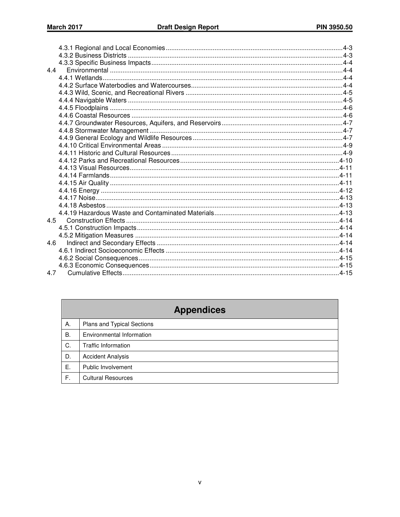| 4.5 |  |
|-----|--|
|     |  |
|     |  |
|     |  |
|     |  |
|     |  |
|     |  |
|     |  |

#### **Appendices** А. Plans and Typical Sections B. Environmental Information C. Traffic Information D. **Accident Analysis**  $E.$ Public Involvement  $\overline{F}$ . **Cultural Resources**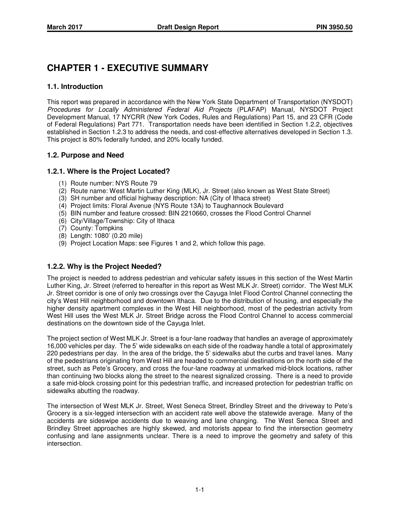## **CHAPTER 1 - EXECUTIVE SUMMARY**

## **1.1. Introduction**

This report was prepared in accordance with the New York State Department of Transportation (NYSDOT) Procedures for Locally Administered Federal Aid Projects (PLAFAP) Manual, NYSDOT Project Development Manual, 17 NYCRR (New York Codes, Rules and Regulations) Part 15, and 23 CFR (Code of Federal Regulations) Part 771. Transportation needs have been identified in Section 1.2.2, objectives established in Section 1.2.3 to address the needs, and cost-effective alternatives developed in Section 1.3. This project is 80% federally funded, and 20% locally funded.

## **1.2. Purpose and Need**

## **1.2.1. Where is the Project Located?**

- (1) Route number: NYS Route 79
- (2) Route name: West Martin Luther King (MLK), Jr. Street (also known as West State Street)
- (3) SH number and official highway description: NA (City of Ithaca street)
- (4) Project limits: Floral Avenue (NYS Route 13A) to Taughannock Boulevard
- (5) BIN number and feature crossed: BIN 2210660, crosses the Flood Control Channel
- (6) City/Village/Township: City of Ithaca
- (7) County: Tompkins
- (8) Length: 1080' (0.20 mile)
- (9) Project Location Maps: see Figures 1 and 2, which follow this page.

## **1.2.2. Why is the Project Needed?**

The project is needed to address pedestrian and vehicular safety issues in this section of the West Martin Luther King, Jr. Street (referred to hereafter in this report as West MLK Jr. Street) corridor. The West MLK Jr. Street corridor is one of only two crossings over the Cayuga Inlet Flood Control Channel connecting the city's West Hill neighborhood and downtown Ithaca. Due to the distribution of housing, and especially the higher density apartment complexes in the West Hill neighborhood, most of the pedestrian activity from West Hill uses the West MLK Jr. Street Bridge across the Flood Control Channel to access commercial destinations on the downtown side of the Cayuga Inlet.

The project section of West MLK Jr. Street is a four-lane roadway that handles an average of approximately 16,000 vehicles per day. The 5' wide sidewalks on each side of the roadway handle a total of approximately 220 pedestrians per day. In the area of the bridge, the 5' sidewalks abut the curbs and travel lanes. Many of the pedestrians originating from West Hill are headed to commercial destinations on the north side of the street, such as Pete's Grocery, and cross the four-lane roadway at unmarked mid-block locations, rather than continuing two blocks along the street to the nearest signalized crossing. There is a need to provide a safe mid-block crossing point for this pedestrian traffic, and increased protection for pedestrian traffic on sidewalks abutting the roadway.

The intersection of West MLK Jr. Street, West Seneca Street, Brindley Street and the driveway to Pete's Grocery is a six-legged intersection with an accident rate well above the statewide average. Many of the accidents are sideswipe accidents due to weaving and lane changing. The West Seneca Street and Brindley Street approaches are highly skewed, and motorists appear to find the intersection geometry confusing and lane assignments unclear. There is a need to improve the geometry and safety of this intersection.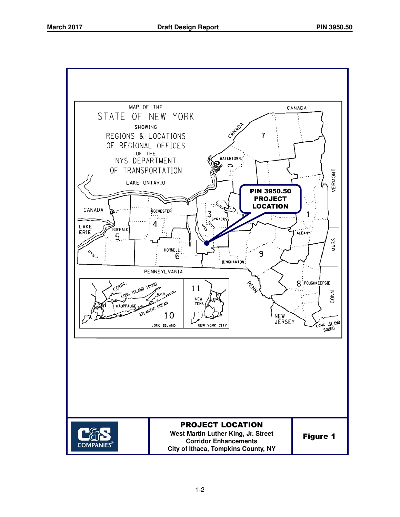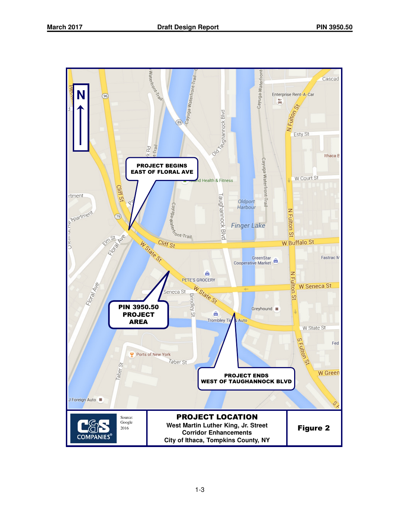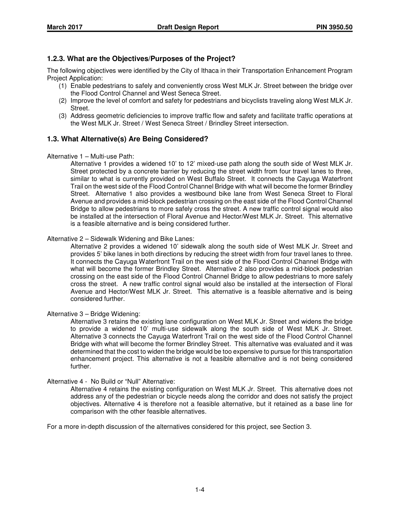## **1.2.3. What are the Objectives/Purposes of the Project?**

The following objectives were identified by the City of Ithaca in their Transportation Enhancement Program Project Application:

- (1) Enable pedestrians to safely and conveniently cross West MLK Jr. Street between the bridge over the Flood Control Channel and West Seneca Street.
- (2) Improve the level of comfort and safety for pedestrians and bicyclists traveling along West MLK Jr. Street.
- (3) Address geometric deficiencies to improve traffic flow and safety and facilitate traffic operations at the West MLK Jr. Street / West Seneca Street / Brindley Street intersection.

## **1.3. What Alternative(s) Are Being Considered?**

#### Alternative 1 – Multi-use Path:

Alternative 1 provides a widened 10' to 12' mixed-use path along the south side of West MLK Jr. Street protected by a concrete barrier by reducing the street width from four travel lanes to three, similar to what is currently provided on West Buffalo Street. It connects the Cayuga Waterfront Trail on the west side of the Flood Control Channel Bridge with what will become the former Brindley Street. Alternative 1 also provides a westbound bike lane from West Seneca Street to Floral Avenue and provides a mid-block pedestrian crossing on the east side of the Flood Control Channel Bridge to allow pedestrians to more safely cross the street. A new traffic control signal would also be installed at the intersection of Floral Avenue and Hector/West MLK Jr. Street. This alternative is a feasible alternative and is being considered further.

#### Alternative 2 – Sidewalk Widening and Bike Lanes:

Alternative 2 provides a widened 10' sidewalk along the south side of West MLK Jr. Street and provides 5' bike lanes in both directions by reducing the street width from four travel lanes to three. It connects the Cayuga Waterfront Trail on the west side of the Flood Control Channel Bridge with what will become the former Brindley Street. Alternative 2 also provides a mid-block pedestrian crossing on the east side of the Flood Control Channel Bridge to allow pedestrians to more safely cross the street. A new traffic control signal would also be installed at the intersection of Floral Avenue and Hector/West MLK Jr. Street. This alternative is a feasible alternative and is being considered further.

#### Alternative 3 – Bridge Widening:

Alternative 3 retains the existing lane configuration on West MLK Jr. Street and widens the bridge to provide a widened 10' multi-use sidewalk along the south side of West MLK Jr. Street. Alternative 3 connects the Cayuga Waterfront Trail on the west side of the Flood Control Channel Bridge with what will become the former Brindley Street. This alternative was evaluated and it was determined that the cost to widen the bridge would be too expensive to pursue for this transportation enhancement project. This alternative is not a feasible alternative and is not being considered further.

#### Alternative 4 - No Build or "Null" Alternative:

Alternative 4 retains the existing configuration on West MLK Jr. Street. This alternative does not address any of the pedestrian or bicycle needs along the corridor and does not satisfy the project objectives. Alternative 4 is therefore not a feasible alternative, but it retained as a base line for comparison with the other feasible alternatives.

For a more in-depth discussion of the alternatives considered for this project, see Section 3.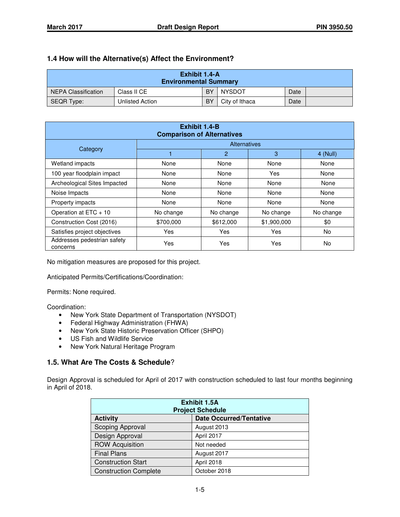## **1.4 How will the Alternative(s) Affect the Environment?**

| Exhibit 1.4-A<br><b>Environmental Summary</b> |                 |           |                |      |  |  |  |  |
|-----------------------------------------------|-----------------|-----------|----------------|------|--|--|--|--|
| NEPA Classification                           | Class II CE     | <b>BY</b> | <b>NYSDOT</b>  | Date |  |  |  |  |
| SEQR Type:                                    | Unlisted Action | BY        | City of Ithaca | Date |  |  |  |  |

| <b>Exhibit 1.4-B</b><br><b>Comparison of Alternatives</b> |                              |                |             |            |  |  |  |  |  |
|-----------------------------------------------------------|------------------------------|----------------|-------------|------------|--|--|--|--|--|
|                                                           | <b>Alternatives</b>          |                |             |            |  |  |  |  |  |
| Category                                                  | 1                            | $\overline{2}$ | 3           | $4$ (Null) |  |  |  |  |  |
| Wetland impacts                                           | None                         | None           | None        | None       |  |  |  |  |  |
| 100 year floodplain impact                                | None                         | None           | Yes         | None       |  |  |  |  |  |
| Archeological Sites Impacted                              | None                         | None           | None        | None       |  |  |  |  |  |
| Noise Impacts                                             | None<br>None<br>None<br>None |                |             |            |  |  |  |  |  |
| Property impacts                                          | None                         | None           | None        | None       |  |  |  |  |  |
| Operation at ETC + 10                                     | No change                    | No change      | No change   | No change  |  |  |  |  |  |
| Construction Cost (2016)                                  | \$700,000                    | \$612,000      | \$1,900,000 | \$0        |  |  |  |  |  |
| Satisfies project objectives                              | Yes                          | Yes            | Yes         | No.        |  |  |  |  |  |
| Addresses pedestrian safety<br>concerns                   | Yes                          | Yes            | Yes         | No         |  |  |  |  |  |

No mitigation measures are proposed for this project.

Anticipated Permits/Certifications/Coordination:

Permits: None required.

Coordination:

- New York State Department of Transportation (NYSDOT)
- Federal Highway Administration (FHWA)
- New York State Historic Preservation Officer (SHPO)
- US Fish and Wildlife Service
- New York Natural Heritage Program

#### **1.5. What Are The Costs & Schedule**?

Design Approval is scheduled for April of 2017 with construction scheduled to last four months beginning in April of 2018.

| <b>Exhibit 1.5A</b><br><b>Project Schedule</b> |                                |  |  |  |  |  |
|------------------------------------------------|--------------------------------|--|--|--|--|--|
| <b>Activity</b>                                | <b>Date Occurred/Tentative</b> |  |  |  |  |  |
| Scoping Approval                               | August 2013                    |  |  |  |  |  |
| Design Approval                                | April 2017                     |  |  |  |  |  |
| <b>ROW Acquisition</b>                         | Not needed                     |  |  |  |  |  |
| <b>Final Plans</b>                             | August 2017                    |  |  |  |  |  |
| <b>Construction Start</b>                      | April 2018                     |  |  |  |  |  |
| <b>Construction Complete</b>                   | October 2018                   |  |  |  |  |  |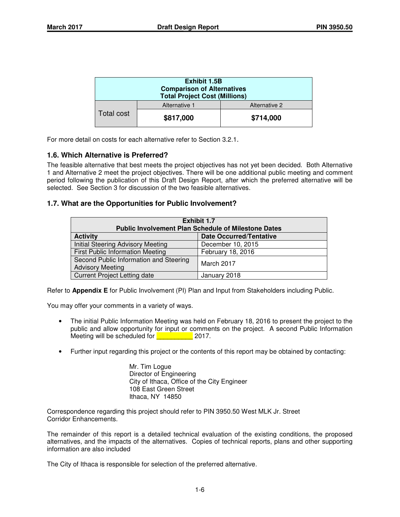| <b>Exhibit 1.5B</b><br><b>Comparison of Alternatives</b><br><b>Total Project Cost (Millions)</b> |               |               |  |  |  |  |  |
|--------------------------------------------------------------------------------------------------|---------------|---------------|--|--|--|--|--|
|                                                                                                  | Alternative 1 | Alternative 2 |  |  |  |  |  |
| Total cost                                                                                       | \$817,000     | \$714,000     |  |  |  |  |  |

For more detail on costs for each alternative refer to Section 3.2.1.

## **1.6. Which Alternative is Preferred?**

The feasible alternative that best meets the project objectives has not yet been decided. Both Alternative 1 and Alternative 2 meet the project objectives. There will be one additional public meeting and comment period following the publication of this Draft Design Report, after which the preferred alternative will be selected. See Section 3 for discussion of the two feasible alternatives.

## **1.7. What are the Opportunities for Public Involvement?**

| <b>Exhibit 1.7</b><br><b>Public Involvement Plan Schedule of Milestone Dates</b> |                                |  |  |  |  |  |
|----------------------------------------------------------------------------------|--------------------------------|--|--|--|--|--|
| <b>Activity</b>                                                                  | <b>Date Occurred/Tentative</b> |  |  |  |  |  |
| Initial Steering Advisory Meeting                                                | December 10, 2015              |  |  |  |  |  |
| <b>First Public Information Meeting</b>                                          | February 18, 2016              |  |  |  |  |  |
| Second Public Information and Steering<br><b>Advisory Meeting</b>                | March 2017                     |  |  |  |  |  |
| <b>Current Project Letting date</b>                                              | January 2018                   |  |  |  |  |  |

Refer to **Appendix E** for Public Involvement (PI) Plan and Input from Stakeholders including Public.

You may offer your comments in a variety of ways.

- The initial Public Information Meeting was held on February 18, 2016 to present the project to the public and allow opportunity for input or comments on the project. A second Public Information Meeting will be scheduled for **EXACCO** 2017.
- Further input regarding this project or the contents of this report may be obtained by contacting:

 Mr. Tim Logue Director of Engineering City of Ithaca, Office of the City Engineer 108 East Green Street Ithaca, NY 14850

Correspondence regarding this project should refer to PIN 3950.50 West MLK Jr. Street Corridor Enhancements.

The remainder of this report is a detailed technical evaluation of the existing conditions, the proposed alternatives, and the impacts of the alternatives. Copies of technical reports, plans and other supporting information are also included

The City of Ithaca is responsible for selection of the preferred alternative.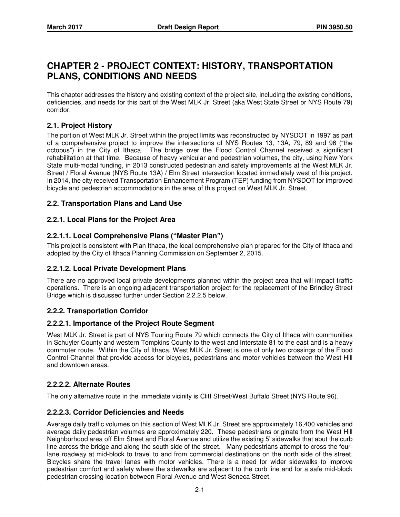## **CHAPTER 2 - PROJECT CONTEXT: HISTORY, TRANSPORTATION PLANS, CONDITIONS AND NEEDS**

This chapter addresses the history and existing context of the project site, including the existing conditions, deficiencies, and needs for this part of the West MLK Jr. Street (aka West State Street or NYS Route 79) corridor.

## **2.1. Project History**

The portion of West MLK Jr. Street within the project limits was reconstructed by NYSDOT in 1997 as part of a comprehensive project to improve the intersections of NYS Routes 13, 13A, 79, 89 and 96 ("the octopus") in the City of Ithaca. The bridge over the Flood Control Channel received a significant rehabilitation at that time. Because of heavy vehicular and pedestrian volumes, the city, using New York State multi-modal funding, in 2013 constructed pedestrian and safety improvements at the West MLK Jr. Street / Floral Avenue (NYS Route 13A) / Elm Street intersection located immediately west of this project. In 2014, the city received Transportation Enhancement Program (TEP) funding from NYSDOT for improved bicycle and pedestrian accommodations in the area of this project on West MLK Jr. Street.

## **2.2. Transportation Plans and Land Use**

## **2.2.1. Local Plans for the Project Area**

## **2.2.1.1. Local Comprehensive Plans ("Master Plan")**

This project is consistent with Plan Ithaca, the local comprehensive plan prepared for the City of Ithaca and adopted by the City of Ithaca Planning Commission on September 2, 2015.

## **2.2.1.2. Local Private Development Plans**

There are no approved local private developments planned within the project area that will impact traffic operations. There is an ongoing adjacent transportation project for the replacement of the Brindley Street Bridge which is discussed further under Section 2.2.2.5 below.

## **2.2.2. Transportation Corridor**

## **2.2.2.1. Importance of the Project Route Segment**

West MLK Jr. Street is part of NYS Touring Route 79 which connects the City of Ithaca with communities in Schuyler County and western Tompkins County to the west and Interstate 81 to the east and is a heavy commuter route. Within the City of Ithaca, West MLK Jr. Street is one of only two crossings of the Flood Control Channel that provide access for bicycles, pedestrians and motor vehicles between the West Hill and downtown areas.

## **2.2.2.2. Alternate Routes**

The only alternative route in the immediate vicinity is Cliff Street/West Buffalo Street (NYS Route 96).

## **2.2.2.3. Corridor Deficiencies and Needs**

Average daily traffic volumes on this section of West MLK Jr. Street are approximately 16,400 vehicles and average daily pedestrian volumes are approximately 220. These pedestrians originate from the West Hill Neighborhood area off Elm Street and Floral Avenue and utilize the existing 5' sidewalks that abut the curb line across the bridge and along the south side of the street. Many pedestrians attempt to cross the fourlane roadway at mid-block to travel to and from commercial destinations on the north side of the street. Bicycles share the travel lanes with motor vehicles. There is a need for wider sidewalks to improve pedestrian comfort and safety where the sidewalks are adjacent to the curb line and for a safe mid-block pedestrian crossing location between Floral Avenue and West Seneca Street.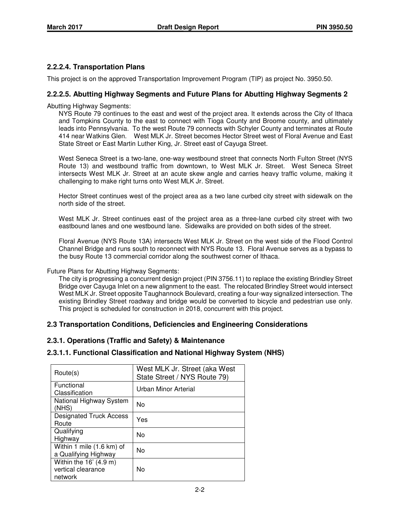## **2.2.2.4. Transportation Plans**

This project is on the approved Transportation Improvement Program (TIP) as project No. 3950.50.

## **2.2.2.5. Abutting Highway Segments and Future Plans for Abutting Highway Segments 2**

Abutting Highway Segments:

NYS Route 79 continues to the east and west of the project area. It extends across the City of Ithaca and Tompkins County to the east to connect with Tioga County and Broome county, and ultimately leads into Pennsylvania. To the west Route 79 connects with Schyler County and terminates at Route 414 near Watkins Glen. West MLK Jr. Street becomes Hector Street west of Floral Avenue and East State Street or East Martin Luther King, Jr. Street east of Cayuga Street.

West Seneca Street is a two-lane, one-way westbound street that connects North Fulton Street (NYS Route 13) and westbound traffic from downtown, to West MLK Jr. Street. West Seneca Street intersects West MLK Jr. Street at an acute skew angle and carries heavy traffic volume, making it challenging to make right turns onto West MLK Jr. Street.

Hector Street continues west of the project area as a two lane curbed city street with sidewalk on the north side of the street.

West MLK Jr. Street continues east of the project area as a three-lane curbed city street with two eastbound lanes and one westbound lane. Sidewalks are provided on both sides of the street.

Floral Avenue (NYS Route 13A) intersects West MLK Jr. Street on the west side of the Flood Control Channel Bridge and runs south to reconnect with NYS Route 13. Floral Avenue serves as a bypass to the busy Route 13 commercial corridor along the southwest corner of Ithaca.

Future Plans for Abutting Highway Segments:

The city is progressing a concurrent design project (PIN 3756.11) to replace the existing Brindley Street Bridge over Cayuga Inlet on a new alignment to the east. The relocated Brindley Street would intersect West MLK Jr. Street opposite Taughannock Boulevard, creating a four-way signalized intersection. The existing Brindley Street roadway and bridge would be converted to bicycle and pedestrian use only. This project is scheduled for construction in 2018, concurrent with this project.

## **2.3 Transportation Conditions, Deficiencies and Engineering Considerations**

## **2.3.1. Operations (Traffic and Safety) & Maintenance**

## **2.3.1.1. Functional Classification and National Highway System (NHS)**

| Route(s)                                                  | West MLK Jr. Street (aka West<br>State Street / NYS Route 79) |
|-----------------------------------------------------------|---------------------------------------------------------------|
| Functional<br>Classification                              | Urban Minor Arterial                                          |
| National Highway System<br>(NHS)                          | Nο                                                            |
| <b>Designated Truck Access</b><br>Route                   | Yes                                                           |
| Qualifying<br>Highway                                     | No                                                            |
| Within 1 mile (1.6 km) of<br>a Qualifying Highway         | Nο                                                            |
| Within the $16'$ (4.9 m)<br>vertical clearance<br>network | No                                                            |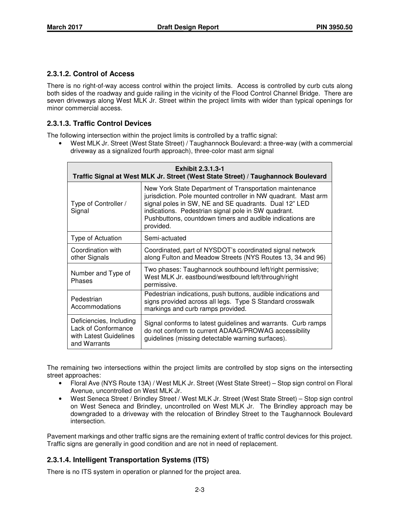## **2.3.1.2. Control of Access**

There is no right-of-way access control within the project limits. Access is controlled by curb cuts along both sides of the roadway and guide railing in the vicinity of the Flood Control Channel Bridge. There are seven driveways along West MLK Jr. Street within the project limits with wider than typical openings for minor commercial access.

## **2.3.1.3. Traffic Control Devices**

The following intersection within the project limits is controlled by a traffic signal:

• West MLK Jr. Street (West State Street) / Taughannock Boulevard: a three-way (with a commercial driveway as a signalized fourth approach), three-color mast arm signal

|                                                                                          | <b>Exhibit 2.3.1.3-1</b><br>Traffic Signal at West MLK Jr. Street (West State Street) / Taughannock Boulevard                                                                                                                                                                                                       |  |  |  |  |  |  |  |
|------------------------------------------------------------------------------------------|---------------------------------------------------------------------------------------------------------------------------------------------------------------------------------------------------------------------------------------------------------------------------------------------------------------------|--|--|--|--|--|--|--|
| Type of Controller /<br>Signal                                                           | New York State Department of Transportation maintenance<br>jurisdiction. Pole mounted controller in NW quadrant. Mast arm<br>signal poles in SW, NE and SE quadrants. Dual 12" LED<br>indications. Pedestrian signal pole in SW quadrant.<br>Pushbuttons, countdown timers and audible indications are<br>provided. |  |  |  |  |  |  |  |
| Type of Actuation                                                                        | Semi-actuated                                                                                                                                                                                                                                                                                                       |  |  |  |  |  |  |  |
| Coordination with<br>other Signals                                                       | Coordinated, part of NYSDOT's coordinated signal network<br>along Fulton and Meadow Streets (NYS Routes 13, 34 and 96)                                                                                                                                                                                              |  |  |  |  |  |  |  |
| Number and Type of<br>Phases                                                             | Two phases: Taughannock southbound left/right permissive;<br>West MLK Jr. eastbound/westbound left/through/right<br>permissive.                                                                                                                                                                                     |  |  |  |  |  |  |  |
| Pedestrian<br>Accommodations                                                             | Pedestrian indications, push buttons, audible indications and<br>signs provided across all legs. Type S Standard crosswalk<br>markings and curb ramps provided.                                                                                                                                                     |  |  |  |  |  |  |  |
| Deficiencies, Including<br>Lack of Conformance<br>with Latest Guidelines<br>and Warrants | Signal conforms to latest guidelines and warrants. Curb ramps<br>do not conform to current ADAAG/PROWAG accessibility<br>guidelines (missing detectable warning surfaces).                                                                                                                                          |  |  |  |  |  |  |  |

The remaining two intersections within the project limits are controlled by stop signs on the intersecting street approaches:

- Floral Ave (NYS Route 13A) / West MLK Jr. Street (West State Street) Stop sign control on Floral Avenue, uncontrolled on West MLK Jr.
- West Seneca Street / Brindley Street / West MLK Jr. Street (West State Street) Stop sign control on West Seneca and Brindley, uncontrolled on West MLK Jr. The Brindley approach may be downgraded to a driveway with the relocation of Brindley Street to the Taughannock Boulevard intersection.

Pavement markings and other traffic signs are the remaining extent of traffic control devices for this project. Traffic signs are generally in good condition and are not in need of replacement.

## **2.3.1.4. Intelligent Transportation Systems (ITS)**

There is no ITS system in operation or planned for the project area.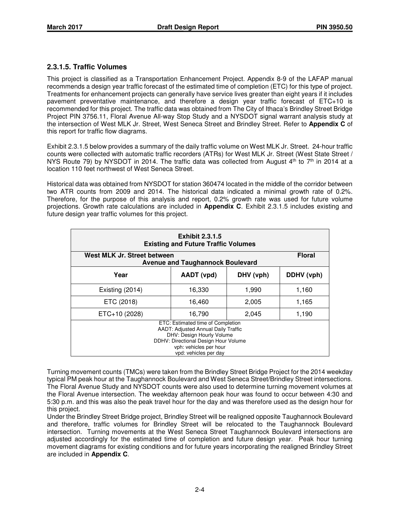## **2.3.1.5. Traffic Volumes**

This project is classified as a Transportation Enhancement Project. Appendix 8-9 of the LAFAP manual recommends a design year traffic forecast of the estimated time of completion (ETC) for this type of project. Treatments for enhancement projects can generally have service lives greater than eight years if it includes pavement preventative maintenance, and therefore a design year traffic forecast of ETC+10 is recommended for this project. The traffic data was obtained from The City of Ithaca's Brindley Street Bridge Project PIN 3756.11, Floral Avenue All-way Stop Study and a NYSDOT signal warrant analysis study at the intersection of West MLK Jr. Street, West Seneca Street and Brindley Street. Refer to **Appendix C** of this report for traffic flow diagrams.

Exhibit 2.3.1.5 below provides a summary of the daily traffic volume on West MLK Jr. Street. 24-hour traffic counts were collected with automatic traffic recorders (ATRs) for West MLK Jr. Street (West State Street / NYS Route 79) by NYSDOT in 2014. The traffic data was collected from August  $4<sup>th</sup>$  to 7<sup>th</sup> in 2014 at a location 110 feet northwest of West Seneca Street.

Historical data was obtained from NYSDOT for station 360474 located in the middle of the corridor between two ATR counts from 2009 and 2014. The historical data indicated a minimal growth rate of 0.2%. Therefore, for the purpose of this analysis and report, 0.2% growth rate was used for future volume projections. Growth rate calculations are included in **Appendix C**. Exhibit 2.3.1.5 includes existing and future design year traffic volumes for this project.

| <b>Exhibit 2.3.1.5</b><br><b>Existing and Future Traffic Volumes</b>                    |                                                                                                                                                                                                         |       |       |  |  |  |  |  |  |  |
|-----------------------------------------------------------------------------------------|---------------------------------------------------------------------------------------------------------------------------------------------------------------------------------------------------------|-------|-------|--|--|--|--|--|--|--|
| West MLK Jr. Street between<br><b>Floral</b><br><b>Avenue and Taughannock Boulevard</b> |                                                                                                                                                                                                         |       |       |  |  |  |  |  |  |  |
| Year<br>AADT (vpd)<br>DHV (vph)<br>DDHV (vph)                                           |                                                                                                                                                                                                         |       |       |  |  |  |  |  |  |  |
| Existing (2014)                                                                         | 16,330                                                                                                                                                                                                  | 1,990 | 1,160 |  |  |  |  |  |  |  |
| ETC (2018)                                                                              | 16,460                                                                                                                                                                                                  | 2,005 | 1,165 |  |  |  |  |  |  |  |
| ETC+10 (2028)                                                                           | 16,790                                                                                                                                                                                                  | 2,045 | 1,190 |  |  |  |  |  |  |  |
|                                                                                         | ETC: Estimated time of Completion<br><b>AADT: Adjusted Annual Daily Traffic</b><br>DHV: Design Hourly Volume<br>DDHV: Directional Design Hour Volume<br>vph: vehicles per hour<br>vpd: vehicles per day |       |       |  |  |  |  |  |  |  |

Turning movement counts (TMCs) were taken from the Brindley Street Bridge Project for the 2014 weekday typical PM peak hour at the Taughannock Boulevard and West Seneca Street/Brindley Street intersections. The Floral Avenue Study and NYSDOT counts were also used to determine turning movement volumes at the Floral Avenue intersection. The weekday afternoon peak hour was found to occur between 4:30 and 5:30 p.m. and this was also the peak travel hour for the day and was therefore used as the design hour for this project.

Under the Brindley Street Bridge project, Brindley Street will be realigned opposite Taughannock Boulevard and therefore, traffic volumes for Brindley Street will be relocated to the Taughannock Boulevard intersection. Turning movements at the West Seneca Street Taughannock Boulevard intersections are adjusted accordingly for the estimated time of completion and future design year. Peak hour turning movement diagrams for existing conditions and for future years incorporating the realigned Brindley Street are included in **Appendix C**.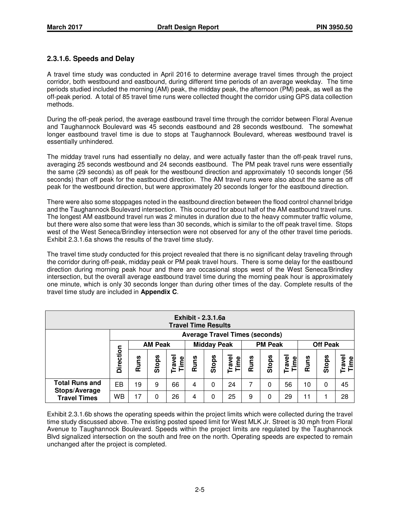## **2.3.1.6. Speeds and Delay**

A travel time study was conducted in April 2016 to determine average travel times through the project corridor, both westbound and eastbound, during different time periods of an average weekday. The time periods studied included the morning (AM) peak, the midday peak, the afternoon (PM) peak, as well as the off-peak period. A total of 85 travel time runs were collected thought the corridor using GPS data collection methods.

During the off-peak period, the average eastbound travel time through the corridor between Floral Avenue and Taughannock Boulevard was 45 seconds eastbound and 28 seconds westbound. The somewhat longer eastbound travel time is due to stops at Taughannock Boulevard, whereas westbound travel is essentially unhindered.

The midday travel runs had essentially no delay, and were actually faster than the off-peak travel runs, averaging 25 seconds westbound and 24 seconds eastbound. The PM peak travel runs were essentially the same (29 seconds) as off peak for the westbound direction and approximately 10 seconds longer (56 seconds) than off peak for the eastbound direction. The AM travel runs were also about the same as off peak for the westbound direction, but were approximately 20 seconds longer for the eastbound direction.

There were also some stoppages noted in the eastbound direction between the flood control channel bridge and the Taughannock Boulevard intersection. This occurred for about half of the AM eastbound travel runs. The longest AM eastbound travel run was 2 minutes in duration due to the heavy commuter traffic volume, but there were also some that were less than 30 seconds, which is similar to the off peak travel time. Stops west of the West Seneca/Brindley intersection were not observed for any of the other travel time periods. Exhibit 2.3.1.6a shows the results of the travel time study.

The travel time study conducted for this project revealed that there is no significant delay traveling through the corridor during off-peak, midday peak or PM peak travel hours. There is some delay for the eastbound direction during morning peak hour and there are occasional stops west of the West Seneca/Brindley intersection, but the overall average eastbound travel time during the morning peak hour is approximately one minute, which is only 30 seconds longer than during other times of the day. Complete results of the travel time study are included in **Appendix C**.

| <b>Exhibit - 2.3.1.6a</b><br><b>Travel Time Results</b> |                                       |             |                |                |      |                    |                |             |                |                |             |                 |                |
|---------------------------------------------------------|---------------------------------------|-------------|----------------|----------------|------|--------------------|----------------|-------------|----------------|----------------|-------------|-----------------|----------------|
|                                                         | <b>Average Travel Times (seconds)</b> |             |                |                |      |                    |                |             |                |                |             |                 |                |
|                                                         |                                       |             | <b>AM Peak</b> |                |      | <b>Midday Peak</b> |                |             | <b>PM Peak</b> |                |             | <b>Off Peak</b> |                |
|                                                         | Direction                             | <b>Runs</b> | <b>Stops</b>   | Travel<br>Time | Runs | Stops              | Travel<br>Time | <b>Runs</b> | Stops          | Travel<br>Time | <b>Runs</b> | Stops           | Travel<br>Time |
| <b>Total Runs and</b>                                   | EB                                    | 19          | 9              | 66             | 4    | $\Omega$           | 24             | 7           | 0              | 56             | 10          | 0               | 45             |
| <b>Stops/Average</b><br><b>Travel Times</b>             | <b>WB</b>                             | 17          | $\Omega$       | 26             | 4    | 0                  | 25             | 9           | 0              | 29             | 11          |                 | 28             |

Exhibit 2.3.1.6b shows the operating speeds within the project limits which were collected during the travel time study discussed above. The existing posted speed limit for West MLK Jr. Street is 30 mph from Floral Avenue to Taughannock Boulevard. Speeds within the project limits are regulated by the Taughannock Blvd signalized intersection on the south and free on the north. Operating speeds are expected to remain unchanged after the project is completed.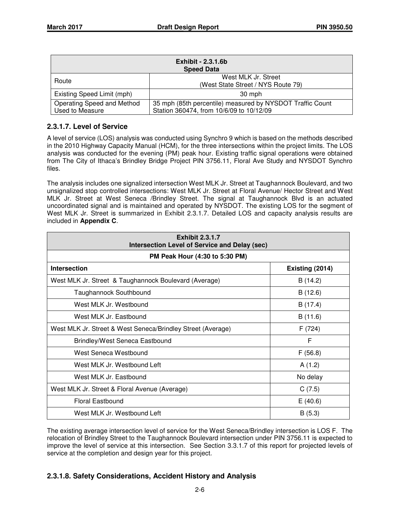| <b>Exhibit - 2.3.1.6b</b><br><b>Speed Data</b> |                                                                                                       |  |  |  |  |
|------------------------------------------------|-------------------------------------------------------------------------------------------------------|--|--|--|--|
| Route                                          | West MLK Jr. Street<br>(West State Street / NYS Route 79)                                             |  |  |  |  |
| Existing Speed Limit (mph)                     | 30 mph                                                                                                |  |  |  |  |
| Operating Speed and Method<br>Used to Measure  | 35 mph (85th percentile) measured by NYSDOT Traffic Count<br>Station 360474, from 10/6/09 to 10/12/09 |  |  |  |  |

## **2.3.1.7. Level of Service**

A level of service (LOS) analysis was conducted using Synchro 9 which is based on the methods described in the 2010 Highway Capacity Manual (HCM), for the three intersections within the project limits. The LOS analysis was conducted for the evening (PM) peak hour. Existing traffic signal operations were obtained from The City of Ithaca's Brindley Bridge Project PIN 3756.11, Floral Ave Study and NYSDOT Synchro files.

The analysis includes one signalized intersection West MLK Jr. Street at Taughannock Boulevard, and two unsignalized stop controlled intersections: West MLK Jr. Street at Floral Avenue/ Hector Street and West MLK Jr. Street at West Seneca /Brindley Street. The signal at Taughannock Blvd is an actuated uncoordinated signal and is maintained and operated by NYSDOT. The existing LOS for the segment of West MLK Jr. Street is summarized in Exhibit 2.3.1.7. Detailed LOS and capacity analysis results are included in **Appendix C**.

| <b>Exhibit 2.3.1.7</b><br>Intersection Level of Service and Delay (sec) |                 |  |  |  |  |
|-------------------------------------------------------------------------|-----------------|--|--|--|--|
| PM Peak Hour (4:30 to 5:30 PM)                                          |                 |  |  |  |  |
| <b>Intersection</b>                                                     | Existing (2014) |  |  |  |  |
| West MLK Jr. Street & Taughannock Boulevard (Average)                   | B(14.2)         |  |  |  |  |
| Taughannock Southbound                                                  | B(12.6)         |  |  |  |  |
| West MLK Jr. Westbound                                                  | B(17.4)         |  |  |  |  |
| West MLK Jr. Eastbound                                                  | B(11.6)         |  |  |  |  |
| West MLK Jr. Street & West Seneca/Brindley Street (Average)             | F (724)         |  |  |  |  |
| Brindley/West Seneca Eastbound                                          | F               |  |  |  |  |
| West Seneca Westbound                                                   | F(56.8)         |  |  |  |  |
| West MLK Jr. Westbound Left                                             | A(1.2)          |  |  |  |  |
| West MLK Jr. Eastbound                                                  | No delay        |  |  |  |  |
| West MLK Jr. Street & Floral Avenue (Average)                           | C(7.5)          |  |  |  |  |
| <b>Floral Eastbound</b>                                                 | E(40.6)         |  |  |  |  |
| West MLK Jr. Westbound Left                                             | B(5.3)          |  |  |  |  |

The existing average intersection level of service for the West Seneca/Brindley intersection is LOS F. The relocation of Brindley Street to the Taughannock Boulevard intersection under PIN 3756.11 is expected to improve the level of service at this intersection. See Section 3.3.1.7 of this report for projected levels of service at the completion and design year for this project.

## **2.3.1.8. Safety Considerations, Accident History and Analysis**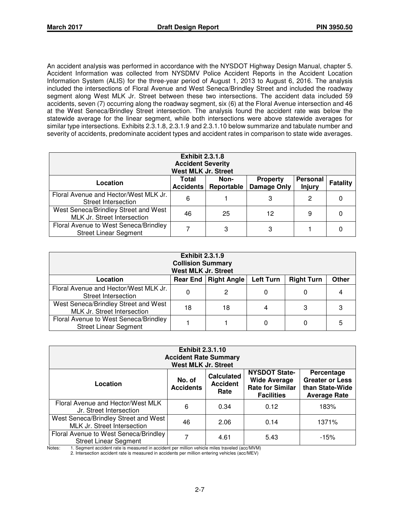An accident analysis was performed in accordance with the NYSDOT Highway Design Manual, chapter 5. Accident Information was collected from NYSDMV Police Accident Reports in the Accident Location Information System (ALIS) for the three-year period of August 1, 2013 to August 6, 2016. The analysis included the intersections of Floral Avenue and West Seneca/Brindley Street and included the roadway segment along West MLK Jr. Street between these two intersections. The accident data included 59 accidents, seven (7) occurring along the roadway segment, six (6) at the Floral Avenue intersection and 46 at the West Seneca/Brindley Street intersection. The analysis found the accident rate was below the statewide average for the linear segment, while both intersections were above statewide averages for similar type intersections. Exhibits 2.3.1.8, 2.3.1.9 and 2.3.1.10 below summarize and tabulate number and severity of accidents, predominate accident types and accident rates in comparison to state wide averages.

| <b>Exhibit 2.3.1.8</b><br><b>Accident Severity</b><br><b>West MLK Jr. Street</b>                                                              |    |    |    |   |  |  |
|-----------------------------------------------------------------------------------------------------------------------------------------------|----|----|----|---|--|--|
| Personal<br>Total<br>Non-<br><b>Property</b><br><b>Fatality</b><br>Location<br><b>Accidents</b><br>Damage Only<br><b>Injury</b><br>Reportable |    |    |    |   |  |  |
| Floral Avenue and Hector/West MLK Jr.<br>Street Intersection                                                                                  | 6  |    | 3  | 2 |  |  |
| West Seneca/Brindley Street and West<br>MLK Jr. Street Intersection                                                                           | 46 | 25 | 12 | 9 |  |  |
| Floral Avenue to West Seneca/Brindley<br><b>Street Linear Segment</b>                                                                         |    | 3  | 3  |   |  |  |

| <b>Exhibit 2.3.1.9</b><br><b>Collision Summary</b><br><b>West MLK Jr. Street</b> |    |                        |                  |                   |       |
|----------------------------------------------------------------------------------|----|------------------------|------------------|-------------------|-------|
| Location                                                                         |    | Rear End   Right Angle | <b>Left Turn</b> | <b>Right Turn</b> | Other |
| Floral Avenue and Hector/West MLK Jr.<br>Street Intersection                     |    | 2                      | 0                |                   |       |
| West Seneca/Brindley Street and West<br>MLK Jr. Street Intersection              | 18 | 18                     | 4                | 3                 |       |
| Floral Avenue to West Seneca/Brindley<br><b>Street Linear Segment</b>            |    |                        | 0                |                   | 5     |

| <b>Exhibit 2.3.1.10</b><br><b>Accident Rate Summary</b><br><b>West MLK Jr. Street</b>                                                                                                                                                                                   |    |      |      |        |  |
|-------------------------------------------------------------------------------------------------------------------------------------------------------------------------------------------------------------------------------------------------------------------------|----|------|------|--------|--|
| <b>NYSDOT State-</b><br>Percentage<br><b>Calculated</b><br><b>Greater or Less</b><br><b>Wide Average</b><br>No. of<br><b>Accident</b><br>Location<br><b>Rate for Similar</b><br><b>Accidents</b><br>than State-Wide<br>Rate<br><b>Facilities</b><br><b>Average Rate</b> |    |      |      |        |  |
| Floral Avenue and Hector/West MLK<br>Jr. Street Intersection                                                                                                                                                                                                            | 6  | 0.34 | 0.12 | 183%   |  |
| West Seneca/Brindley Street and West<br>MLK Jr. Street Intersection                                                                                                                                                                                                     | 46 | 2.06 | 0.14 | 1371%  |  |
| Floral Avenue to West Seneca/Brindley<br><b>Street Linear Segment</b>                                                                                                                                                                                                   | ⇁  | 4.61 | 5.43 | $-15%$ |  |

Notes: 1. Segment accident rate is measured in accident per million vehicle miles traveled (acc/MVM)

2. Intersection accident rate is measured in accidents per million entering vehicles (acc/MEV)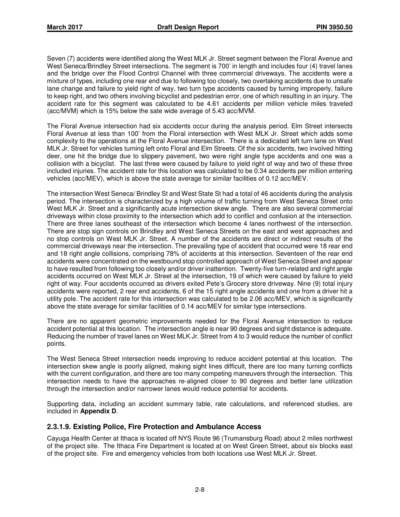Seven (7) accidents were identified along the West MLK Jr. Street segment between the Floral Avenue and West Seneca/Brindley Street intersections. The segment is 700' in length and includes four (4) travel lanes and the bridge over the Flood Control Channel with three commercial driveways. The accidents were a mixture of types, including one rear end due to following too closely, two overtaking accidents due to unsafe lane change and failure to yield right of way, two turn type accidents caused by turning improperly, failure to keep right, and two others involving bicyclist and pedestrian error, one of which resulting in an injury. The accident rate for this segment was calculated to be 4.61 accidents per million vehicle miles traveled (acc/MVM) which is 15% below the sate wide average of 5.43 acc/MVM.

The Floral Avenue intersection had six accidents occur during the analysis period. Elm Street intersects Floral Avenue at less than 100' from the Floral intersection with West MLK Jr. Street which adds some complexity to the operations at the Floral Avenue intersection. There is a dedicated left turn lane on West MLK Jr. Street for vehicles turning left onto Floral and Elm Streets. Of the six accidents, two involved hitting deer, one hit the bridge due to slippery pavement, two were right angle type accidents and one was a collision with a bicyclist. The last three were caused by failure to yield right of way and two of these three included injuries. The accident rate for this location was calculated to be 0.34 accidents per million entering vehicles (acc/MEV), which is above the state average for similar facilities of 0.12 acc/MEV.

The intersection West Seneca/ Brindley St and West State St had a total of 46 accidents during the analysis period. The intersection is characterized by a high volume of traffic turning from West Seneca Street onto West MLK Jr. Street and a significantly acute intersection skew angle. There are also several commercial driveways within close proximity to the intersection which add to conflict and confusion at the intersection. There are three lanes southeast of the intersection which become 4 lanes northwest of the intersection. There are stop sign controls on Brindley and West Seneca Streets on the east and west approaches and no stop controls on West MLK Jr. Street. A number of the accidents are direct or indirect results of the commercial driveways near the intersection. The prevailing type of accident that occurred were 18 rear end and 18 right angle collisions, comprising 78% of accidents at this intersection. Seventeen of the rear end accidents were concentrated on the westbound stop controlled approach of West Seneca Street and appear to have resulted from following too closely and/or driver inattention. Twenty-five turn-related and right angle accidents occurred on West MLK Jr. Street at the intersection, 19 of which were caused by failure to yield right of way. Four accidents occurred as drivers exited Pete's Grocery store driveway. Nine (9) total injury accidents were reported, 2 rear end accidents, 6 of the 15 right angle accidents and one from a driver hit a utility pole. The accident rate for this intersection was calculated to be 2.06 acc/MEV, which is significantly above the state average for similar facilities of 0.14 acc/MEV for similar type intersections.

There are no apparent geometric improvements needed for the Floral Avenue intersection to reduce accident potential at this location. The intersection angle is near 90 degrees and sight distance is adequate. Reducing the number of travel lanes on West MLK Jr. Street from 4 to 3 would reduce the number of conflict points.

The West Seneca Street intersection needs improving to reduce accident potential at this location. The intersection skew angle is poorly aligned, making sight lines difficult, there are too many turning conflicts with the current configuration, and there are too many competing maneuvers through the intersection. This intersection needs to have the approaches re-aligned closer to 90 degrees and better lane utilization through the intersection and/or narrower lanes would reduce potential for accidents.

Supporting data, including an accident summary table, rate calculations, and referenced studies, are included in **Appendix D**.

#### **2.3.1.9. Existing Police, Fire Protection and Ambulance Access**

Cayuga Health Center at Ithaca is located off NYS Route 96 (Trumansburg Road) about 2 miles northwest of the project site. The Ithaca Fire Department is located at on West Green Street, about six blocks east of the project site. Fire and emergency vehicles from both locations use West MLK Jr. Street.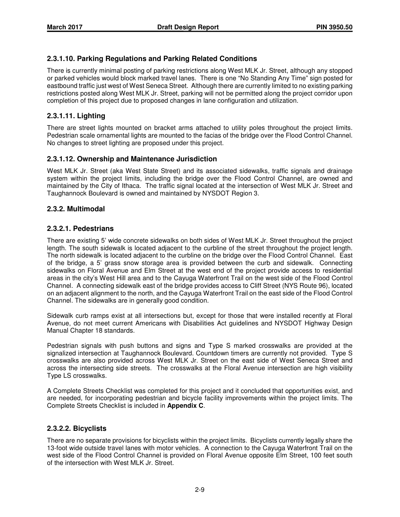## **2.3.1.10. Parking Regulations and Parking Related Conditions**

There is currently minimal posting of parking restrictions along West MLK Jr. Street, although any stopped or parked vehicles would block marked travel lanes. There is one "No Standing Any Time" sign posted for eastbound traffic just west of West Seneca Street. Although there are currently limited to no existing parking restrictions posted along West MLK Jr. Street, parking will not be permitted along the project corridor upon completion of this project due to proposed changes in lane configuration and utilization.

## **2.3.1.11. Lighting**

There are street lights mounted on bracket arms attached to utility poles throughout the project limits. Pedestrian scale ornamental lights are mounted to the facias of the bridge over the Flood Control Channel. No changes to street lighting are proposed under this project.

## **2.3.1.12. Ownership and Maintenance Jurisdiction**

West MLK Jr. Street (aka West State Street) and its associated sidewalks, traffic signals and drainage system within the project limits, including the bridge over the Flood Control Channel, are owned and maintained by the City of Ithaca. The traffic signal located at the intersection of West MLK Jr. Street and Taughannock Boulevard is owned and maintained by NYSDOT Region 3.

## **2.3.2. Multimodal**

## **2.3.2.1. Pedestrians**

There are existing 5' wide concrete sidewalks on both sides of West MLK Jr. Street throughout the project length. The south sidewalk is located adjacent to the curbline of the street throughout the project length. The north sidewalk is located adjacent to the curbline on the bridge over the Flood Control Channel. East of the bridge, a 5' grass snow storage area is provided between the curb and sidewalk. Connecting sidewalks on Floral Avenue and Elm Street at the west end of the project provide access to residential areas in the city's West Hill area and to the Cayuga Waterfront Trail on the west side of the Flood Control Channel. A connecting sidewalk east of the bridge provides access to Cliff Street (NYS Route 96), located on an adjacent alignment to the north, and the Cayuga Waterfront Trail on the east side of the Flood Control Channel. The sidewalks are in generally good condition.

Sidewalk curb ramps exist at all intersections but, except for those that were installed recently at Floral Avenue, do not meet current Americans with Disabilities Act guidelines and NYSDOT Highway Design Manual Chapter 18 standards.

Pedestrian signals with push buttons and signs and Type S marked crosswalks are provided at the signalized intersection at Taughannock Boulevard. Countdown timers are currently not provided. Type S crosswalks are also provided across West MLK Jr. Street on the east side of West Seneca Street and across the intersecting side streets. The crosswalks at the Floral Avenue intersection are high visibility Type LS crosswalks.

A Complete Streets Checklist was completed for this project and it concluded that opportunities exist, and are needed, for incorporating pedestrian and bicycle facility improvements within the project limits. The Complete Streets Checklist is included in **Appendix C**.

## **2.3.2.2. Bicyclists**

There are no separate provisions for bicyclists within the project limits. Bicyclists currently legally share the 13-foot wide outside travel lanes with motor vehicles. A connection to the Cayuga Waterfront Trail on the west side of the Flood Control Channel is provided on Floral Avenue opposite Elm Street, 100 feet south of the intersection with West MLK Jr. Street.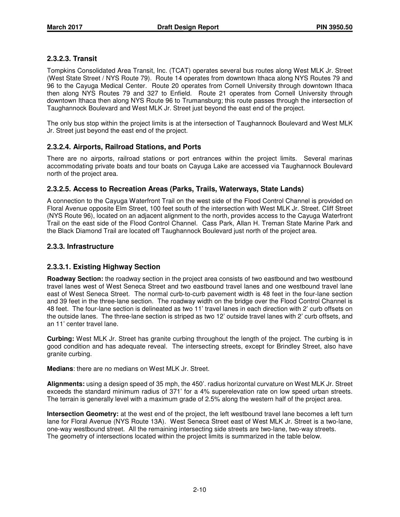## **2.3.2.3. Transit**

Tompkins Consolidated Area Transit, Inc. (TCAT) operates several bus routes along West MLK Jr. Street (West State Street / NYS Route 79). Route 14 operates from downtown Ithaca along NYS Routes 79 and 96 to the Cayuga Medical Center. Route 20 operates from Cornell University through downtown Ithaca then along NYS Routes 79 and 327 to Enfield. Route 21 operates from Cornell University through downtown Ithaca then along NYS Route 96 to Trumansburg; this route passes through the intersection of Taughannock Boulevard and West MLK Jr. Street just beyond the east end of the project.

The only bus stop within the project limits is at the intersection of Taughannock Boulevard and West MLK Jr. Street just beyond the east end of the project.

## **2.3.2.4. Airports, Railroad Stations, and Ports**

There are no airports, railroad stations or port entrances within the project limits. Several marinas accommodating private boats and tour boats on Cayuga Lake are accessed via Taughannock Boulevard north of the project area.

## **2.3.2.5. Access to Recreation Areas (Parks, Trails, Waterways, State Lands)**

A connection to the Cayuga Waterfront Trail on the west side of the Flood Control Channel is provided on Floral Avenue opposite Elm Street, 100 feet south of the intersection with West MLK Jr. Street. Cliff Street (NYS Route 96), located on an adjacent alignment to the north, provides access to the Cayuga Waterfront Trail on the east side of the Flood Control Channel. Cass Park, Allan H. Treman State Marine Park and the Black Diamond Trail are located off Taughannock Boulevard just north of the project area.

## **2.3.3. Infrastructure**

## **2.3.3.1. Existing Highway Section**

**Roadway Section:** the roadway section in the project area consists of two eastbound and two westbound travel lanes west of West Seneca Street and two eastbound travel lanes and one westbound travel lane east of West Seneca Street. The normal curb-to-curb pavement width is 48 feet in the four-lane section and 39 feet in the three-lane section. The roadway width on the bridge over the Flood Control Channel is 48 feet. The four-lane section is delineated as two 11' travel lanes in each direction with 2' curb offsets on the outside lanes. The three-lane section is striped as two 12' outside travel lanes with 2' curb offsets, and an 11' center travel lane.

**Curbing:** West MLK Jr. Street has granite curbing throughout the length of the project. The curbing is in good condition and has adequate reveal. The intersecting streets, except for Brindley Street, also have granite curbing.

**Medians**: there are no medians on West MLK Jr. Street.

**Alignments:** using a design speed of 35 mph, the 450'. radius horizontal curvature on West MLK Jr. Street exceeds the standard minimum radius of 371' for a 4% superelevation rate on low speed urban streets. The terrain is generally level with a maximum grade of 2.5% along the western half of the project area.

**Intersection Geometry:** at the west end of the project, the left westbound travel lane becomes a left turn lane for Floral Avenue (NYS Route 13A). West Seneca Street east of West MLK Jr. Street is a two-lane, one-way westbound street. All the remaining intersecting side streets are two-lane, two-way streets. The geometry of intersections located within the project limits is summarized in the table below.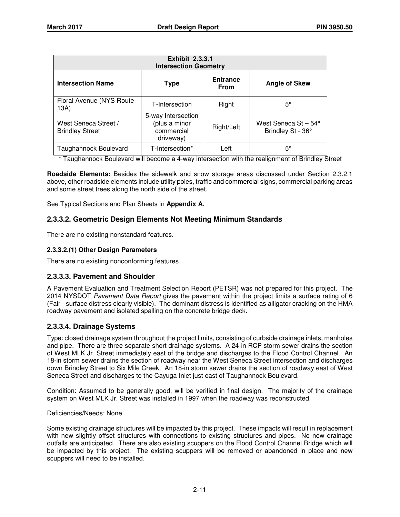| <b>Exhibit 2.3.3.1</b><br><b>Intersection Geometry</b> |                                                                |                                |                                                   |  |  |
|--------------------------------------------------------|----------------------------------------------------------------|--------------------------------|---------------------------------------------------|--|--|
| <b>Intersection Name</b>                               | Type                                                           | <b>Entrance</b><br><b>From</b> | <b>Angle of Skew</b>                              |  |  |
| Floral Avenue (NYS Route)<br>13A)                      | T-Intersection                                                 | Right                          | $5^{\circ}$                                       |  |  |
| West Seneca Street /<br><b>Brindley Street</b>         | 5-way Intersection<br>(plus a minor<br>commercial<br>driveway) | Right/Left                     | West Seneca St $-54^{\circ}$<br>Brindley St - 36° |  |  |
| Taughannock Boulevard                                  | T-Intersection*                                                | Left                           | $5^{\circ}$                                       |  |  |

Taughannock Boulevard will become a 4-way intersection with the realignment of Brindley Street

**Roadside Elements:** Besides the sidewalk and snow storage areas discussed under Section 2.3.2.1 above, other roadside elements include utility poles, traffic and commercial signs, commercial parking areas and some street trees along the north side of the street.

See Typical Sections and Plan Sheets in **Appendix A**.

## **2.3.3.2. Geometric Design Elements Not Meeting Minimum Standards**

There are no existing nonstandard features.

#### **2.3.3.2.(1) Other Design Parameters**

There are no existing nonconforming features.

## **2.3.3.3. Pavement and Shoulder**

A Pavement Evaluation and Treatment Selection Report (PETSR) was not prepared for this project. The 2014 NYSDOT Pavement Data Report gives the pavement within the project limits a surface rating of 6 (Fair - surface distress clearly visible). The dominant distress is identified as alligator cracking on the HMA roadway pavement and isolated spalling on the concrete bridge deck.

## **2.3.3.4. Drainage Systems**

Type: closed drainage system throughout the project limits, consisting of curbside drainage inlets, manholes and pipe. There are three separate short drainage systems. A 24-in RCP storm sewer drains the section of West MLK Jr. Street immediately east of the bridge and discharges to the Flood Control Channel. An 18-in storm sewer drains the section of roadway near the West Seneca Street intersection and discharges down Brindley Street to Six Mile Creek. An 18-in storm sewer drains the section of roadway east of West Seneca Street and discharges to the Cayuga Inlet just east of Taughannock Boulevard.

Condition: Assumed to be generally good, will be verified in final design. The majority of the drainage system on West MLK Jr. Street was installed in 1997 when the roadway was reconstructed.

Deficiencies/Needs: None.

Some existing drainage structures will be impacted by this project. These impacts will result in replacement with new slightly offset structures with connections to existing structures and pipes. No new drainage outfalls are anticipated. There are also existing scuppers on the Flood Control Channel Bridge which will be impacted by this project. The existing scuppers will be removed or abandoned in place and new scuppers will need to be installed.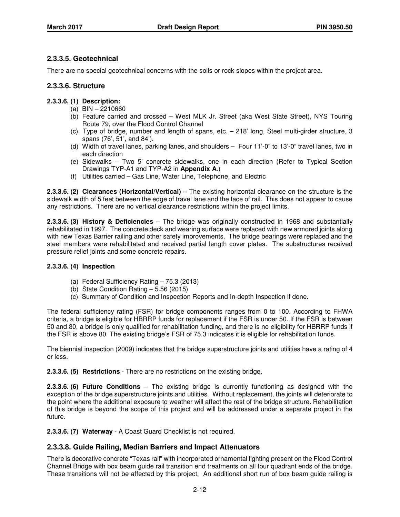## **2.3.3.5. Geotechnical**

There are no special geotechnical concerns with the soils or rock slopes within the project area.

#### **2.3.3.6. Structure**

#### **2.3.3.6. (1) Description:**

- (a) BIN 2210660
- (b) Feature carried and crossed West MLK Jr. Street (aka West State Street), NYS Touring Route 79, over the Flood Control Channel
- (c) Type of bridge, number and length of spans, etc. 218' long, Steel multi-girder structure, 3 spans (76', 51', and 84').
- (d) Width of travel lanes, parking lanes, and shoulders Four 11'-0" to 13'-0" travel lanes, two in each direction
- (e) Sidewalks Two 5' concrete sidewalks, one in each direction (Refer to Typical Section Drawings TYP-A1 and TYP-A2 in **Appendix A**.)
- (f) Utilities carried Gas Line, Water Line, Telephone, and Electric

**2.3.3.6. (2) Clearances (Horizontal/Vertical) –** The existing horizontal clearance on the structure is the sidewalk width of 5 feet between the edge of travel lane and the face of rail. This does not appear to cause any restrictions. There are no vertical clearance restrictions within the project limits.

**2.3.3.6. (3) History & Deficiencies** – The bridge was originally constructed in 1968 and substantially rehabilitated in 1997. The concrete deck and wearing surface were replaced with new armored joints along with new Texas Barrier railing and other safety improvements. The bridge bearings were replaced and the steel members were rehabilitated and received partial length cover plates. The substructures received pressure relief joints and some concrete repairs.

#### **2.3.3.6. (4) Inspection**

- (a) Federal Sufficiency Rating 75.3 (2013)
- (b) State Condition Rating 5.56 (2015)
- (c) Summary of Condition and Inspection Reports and In-depth Inspection if done.

The federal sufficiency rating (FSR) for bridge components ranges from 0 to 100. According to FHWA criteria, a bridge is eligible for HBRRP funds for replacement if the FSR is under 50. If the FSR is between 50 and 80, a bridge is only qualified for rehabilitation funding, and there is no eligibility for HBRRP funds if the FSR is above 80. The existing bridge's FSR of 75.3 indicates it is eligible for rehabilitation funds.

The biennial inspection (2009) indicates that the bridge superstructure joints and utilities have a rating of 4 or less.

**2.3.3.6. (5) Restrictions** - There are no restrictions on the existing bridge.

**2.3.3.6. (6) Future Conditions** – The existing bridge is currently functioning as designed with the exception of the bridge superstructure joints and utilities. Without replacement, the joints will deteriorate to the point where the additional exposure to weather will affect the rest of the bridge structure. Rehabilitation of this bridge is beyond the scope of this project and will be addressed under a separate project in the future.

**2.3.3.6. (7) Waterway** - A Coast Guard Checklist is not required.

#### **2.3.3.8. Guide Railing, Median Barriers and Impact Attenuators**

There is decorative concrete "Texas rail" with incorporated ornamental lighting present on the Flood Control Channel Bridge with box beam guide rail transition end treatments on all four quadrant ends of the bridge. These transitions will not be affected by this project. An additional short run of box beam guide railing is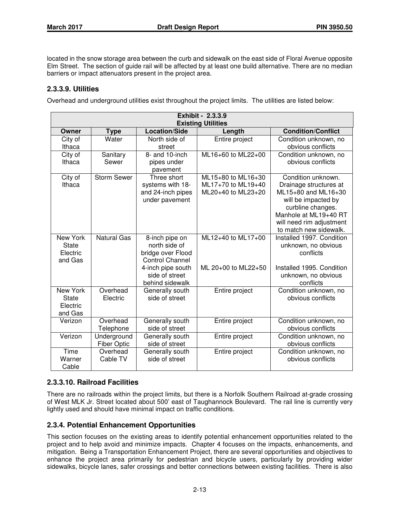located in the snow storage area between the curb and sidewalk on the east side of Floral Avenue opposite Elm Street. The section of guide rail will be affected by at least one build alternative. There are no median barriers or impact attenuators present in the project area.

## **2.3.3.9. Utilities**

Overhead and underground utilities exist throughout the project limits. The utilities are listed below:

| Exhibit - 2.3.3.9<br><b>Existing Utilities</b> |                                   |                                                                                                                                          |                                                                |                                                                                                                                                                                                |  |
|------------------------------------------------|-----------------------------------|------------------------------------------------------------------------------------------------------------------------------------------|----------------------------------------------------------------|------------------------------------------------------------------------------------------------------------------------------------------------------------------------------------------------|--|
| Owner                                          | <b>Type</b>                       | <b>Location/Side</b>                                                                                                                     | Length                                                         | <b>Condition/Conflict</b>                                                                                                                                                                      |  |
| City of<br>Ithaca                              | Water                             | North side of<br>street                                                                                                                  | Entire project                                                 | Condition unknown, no<br>obvious conflicts                                                                                                                                                     |  |
| City of<br>Ithaca                              | Sanitary<br>Sewer                 | 8- and 10-inch<br>pipes under<br>pavement                                                                                                | ML16+60 to ML22+00                                             | Condition unknown, no<br>obvious conflicts                                                                                                                                                     |  |
| City of<br>Ithaca                              | <b>Storm Sewer</b>                | Three short<br>systems with 18-<br>and 24-inch pipes<br>under pavement                                                                   | ML15+80 to ML16+30<br>ML17+70 to ML19+40<br>ML20+40 to ML23+20 | Condition unknown.<br>Drainage structures at<br>ML15+80 and ML16+30<br>will be impacted by<br>curbline changes.<br>Manhole at ML19+40 RT<br>will need rim adjustment<br>to match new sidewalk. |  |
| New York<br>State<br>Electric<br>and Gas       | <b>Natural Gas</b>                | 8-inch pipe on<br>north side of<br>bridge over Flood<br><b>Control Channel</b><br>4-inch pipe south<br>side of street<br>behind sidewalk | ML12+40 to ML17+00<br>ML 20+00 to ML22+50                      | Installed 1997. Condition<br>unknown, no obvious<br>conflicts<br>Installed 1995. Condition<br>unknown, no obvious<br>conflicts                                                                 |  |
| New York<br>State<br>Electric<br>and Gas       | Overhead<br>Electric              | Generally south<br>side of street                                                                                                        | Entire project                                                 | Condition unknown, no<br>obvious conflicts                                                                                                                                                     |  |
| Verizon                                        | Overhead<br>Telephone             | Generally south<br>side of street                                                                                                        | Entire project                                                 | Condition unknown, no<br>obvious conflicts                                                                                                                                                     |  |
| Verizon                                        | Underground<br><b>Fiber Optic</b> | Generally south<br>side of street                                                                                                        | Entire project                                                 | Condition unknown, no<br>obvious conflicts                                                                                                                                                     |  |
| $\overline{\mathsf{Time}}$<br>Warner<br>Cable  | Overhead<br>Cable TV              | Generally south<br>side of street                                                                                                        | Entire project                                                 | Condition unknown, no<br>obvious conflicts                                                                                                                                                     |  |

## **2.3.3.10. Railroad Facilities**

There are no railroads within the project limits, but there is a Norfolk Southern Railroad at-grade crossing of West MLK Jr. Street located about 500' east of Taughannock Boulevard. The rail line is currently very lightly used and should have minimal impact on traffic conditions.

## **2.3.4. Potential Enhancement Opportunities**

This section focuses on the existing areas to identify potential enhancement opportunities related to the project and to help avoid and minimize impacts. Chapter 4 focuses on the impacts, enhancements, and mitigation. Being a Transportation Enhancement Project, there are several opportunities and objectives to enhance the project area primarily for pedestrian and bicycle users, particularly by providing wider sidewalks, bicycle lanes, safer crossings and better connections between existing facilities. There is also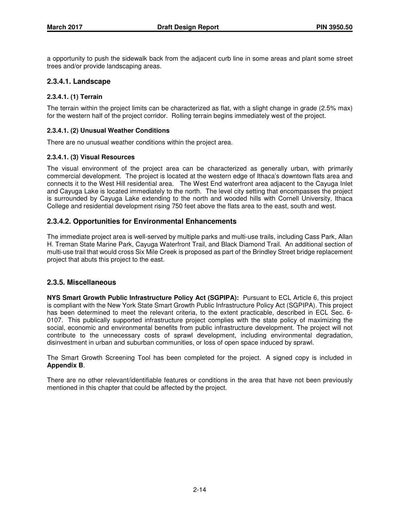a opportunity to push the sidewalk back from the adjacent curb line in some areas and plant some street trees and/or provide landscaping areas.

## **2.3.4.1. Landscape**

#### **2.3.4.1. (1) Terrain**

The terrain within the project limits can be characterized as flat, with a slight change in grade (2.5% max) for the western half of the project corridor. Rolling terrain begins immediately west of the project.

### **2.3.4.1. (2) Unusual Weather Conditions**

There are no unusual weather conditions within the project area.

#### **2.3.4.1. (3) Visual Resources**

The visual environment of the project area can be characterized as generally urban, with primarily commercial development. The project is located at the western edge of Ithaca's downtown flats area and connects it to the West Hill residential area. The West End waterfront area adjacent to the Cayuga Inlet and Cayuga Lake is located immediately to the north. The level city setting that encompasses the project is surrounded by Cayuga Lake extending to the north and wooded hills with Cornell University, Ithaca College and residential development rising 750 feet above the flats area to the east, south and west.

## **2.3.4.2. Opportunities for Environmental Enhancements**

The immediate project area is well-served by multiple parks and multi-use trails, including Cass Park, Allan H. Treman State Marine Park, Cayuga Waterfront Trail, and Black Diamond Trail. An additional section of multi-use trail that would cross Six Mile Creek is proposed as part of the Brindley Street bridge replacement project that abuts this project to the east.

#### **2.3.5. Miscellaneous**

**NYS Smart Growth Public Infrastructure Policy Act (SGPIPA):** Pursuant to ECL Article 6, this project is compliant with the New York State Smart Growth Public Infrastructure Policy Act (SGPIPA). This project has been determined to meet the relevant criteria, to the extent practicable, described in ECL Sec. 6- 0107. This publically supported infrastructure project complies with the state policy of maximizing the social, economic and environmental benefits from public infrastructure development. The project will not contribute to the unnecessary costs of sprawl development, including environmental degradation, disinvestment in urban and suburban communities, or loss of open space induced by sprawl.

The Smart Growth Screening Tool has been completed for the project. A signed copy is included in **Appendix B**.

There are no other relevant/identifiable features or conditions in the area that have not been previously mentioned in this chapter that could be affected by the project.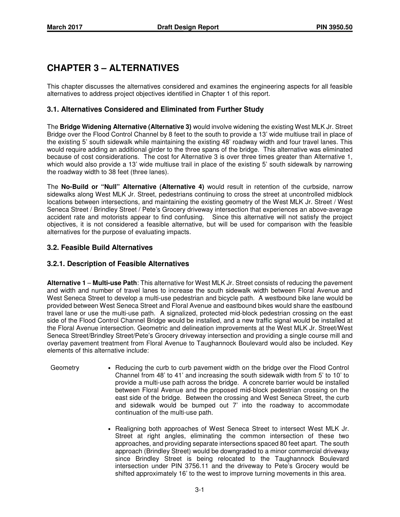## **CHAPTER 3 – ALTERNATIVES**

This chapter discusses the alternatives considered and examines the engineering aspects for all feasible alternatives to address project objectives identified in Chapter 1 of this report.

## **3.1. Alternatives Considered and Eliminated from Further Study**

The **Bridge Widening Alternative (Alternative 3)** would involve widening the existing West MLK Jr. Street Bridge over the Flood Control Channel by 8 feet to the south to provide a 13' wide multiuse trail in place of the existing 5' south sidewalk while maintaining the existing 48' roadway width and four travel lanes. This would require adding an additional girder to the three spans of the bridge. This alternative was eliminated because of cost considerations. The cost for Alternative 3 is over three times greater than Alternative 1, which would also provide a 13' wide multiuse trail in place of the existing 5' south sidewalk by narrowing the roadway width to 38 feet (three lanes).

The **No-Build or "Null" Alternative (Alternative 4)** would result in retention of the curbside, narrow sidewalks along West MLK Jr. Street, pedestrians continuing to cross the street at uncontrolled midblock locations between intersections, and maintaining the existing geometry of the West MLK Jr. Street / West Seneca Street / Brindley Street / Pete's Grocery driveway intersection that experiences an above-average accident rate and motorists appear to find confusing. Since this alternative will not satisfy the project objectives, it is not considered a feasible alternative, but will be used for comparison with the feasible alternatives for the purpose of evaluating impacts.

#### **3.2. Feasible Build Alternatives**

#### **3.2.1. Description of Feasible Alternatives**

**Alternative 1** – **Multi-use Path**: This alternative for West MLK Jr. Street consists of reducing the pavement and width and number of travel lanes to increase the south sidewalk width between Floral Avenue and West Seneca Street to develop a multi-use pedestrian and bicycle path. A westbound bike lane would be provided between West Seneca Street and Floral Avenue and eastbound bikes would share the eastbound travel lane or use the multi-use path. A signalized, protected mid-block pedestrian crossing on the east side of the Flood Control Channel Bridge would be installed, and a new traffic signal would be installed at the Floral Avenue intersection. Geometric and delineation improvements at the West MLK Jr. Street/West Seneca Street/Brindley Street/Pete's Grocery driveway intersection and providing a single course mill and overlay pavement treatment from Floral Avenue to Taughannock Boulevard would also be included. Key elements of this alternative include:

- Geometry Reducing the curb to curb pavement width on the bridge over the Flood Control Channel from 48' to 41' and increasing the south sidewalk width from 5' to 10' to provide a multi-use path across the bridge. A concrete barrier would be installed between Floral Avenue and the proposed mid-block pedestrian crossing on the east side of the bridge. Between the crossing and West Seneca Street, the curb and sidewalk would be bumped out 7' into the roadway to accommodate continuation of the multi-use path.
	- Realigning both approaches of West Seneca Street to intersect West MLK Jr. Street at right angles, eliminating the common intersection of these two approaches, and providing separate intersections spaced 80 feet apart. The south approach (Brindley Street) would be downgraded to a minor commercial driveway since Brindley Street is being relocated to the Taughannock Boulevard intersection under PIN 3756.11 and the driveway to Pete's Grocery would be shifted approximately 16' to the west to improve turning movements in this area.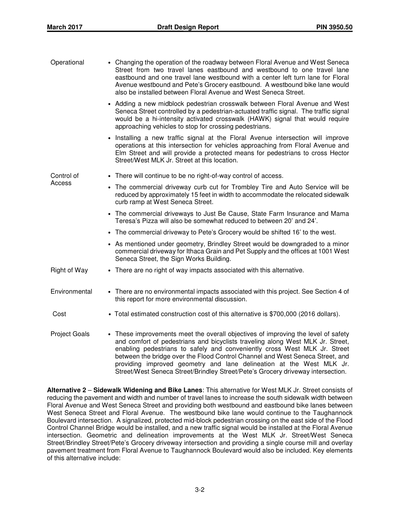| Operational          | • Changing the operation of the roadway between Floral Avenue and West Seneca<br>Street from two travel lanes eastbound and westbound to one travel lane<br>eastbound and one travel lane westbound with a center left turn lane for Floral<br>Avenue westbound and Pete's Grocery eastbound. A westbound bike lane would<br>also be installed between Floral Avenue and West Seneca Street.                                                                                                 |
|----------------------|----------------------------------------------------------------------------------------------------------------------------------------------------------------------------------------------------------------------------------------------------------------------------------------------------------------------------------------------------------------------------------------------------------------------------------------------------------------------------------------------|
|                      | • Adding a new midblock pedestrian crosswalk between Floral Avenue and West<br>Seneca Street controlled by a pedestrian-actuated traffic signal. The traffic signal<br>would be a hi-intensity activated crosswalk (HAWK) signal that would require<br>approaching vehicles to stop for crossing pedestrians.                                                                                                                                                                                |
|                      | Installing a new traffic signal at the Floral Avenue intersection will improve<br>$\bullet$<br>operations at this intersection for vehicles approaching from Floral Avenue and<br>Elm Street and will provide a protected means for pedestrians to cross Hector<br>Street/West MLK Jr. Street at this location.                                                                                                                                                                              |
| Control of           | There will continue to be no right-of-way control of access.<br>$\bullet$                                                                                                                                                                                                                                                                                                                                                                                                                    |
| Access               | • The commercial driveway curb cut for Trombley Tire and Auto Service will be<br>reduced by approximately 15 feet in width to accommodate the relocated sidewalk<br>curb ramp at West Seneca Street.                                                                                                                                                                                                                                                                                         |
|                      | • The commercial driveways to Just Be Cause, State Farm Insurance and Mama<br>Teresa's Pizza will also be somewhat reduced to between 20' and 24'.                                                                                                                                                                                                                                                                                                                                           |
|                      | The commercial driveway to Pete's Grocery would be shifted 16' to the west.<br>$\bullet$                                                                                                                                                                                                                                                                                                                                                                                                     |
|                      | • As mentioned under geometry, Brindley Street would be downgraded to a minor<br>commercial driveway for Ithaca Grain and Pet Supply and the offices at 1001 West<br>Seneca Street, the Sign Works Building.                                                                                                                                                                                                                                                                                 |
| <b>Right of Way</b>  | • There are no right of way impacts associated with this alternative.                                                                                                                                                                                                                                                                                                                                                                                                                        |
| Environmental        | • There are no environmental impacts associated with this project. See Section 4 of<br>this report for more environmental discussion.                                                                                                                                                                                                                                                                                                                                                        |
| Cost                 | • Total estimated construction cost of this alternative is \$700,000 (2016 dollars).                                                                                                                                                                                                                                                                                                                                                                                                         |
| <b>Project Goals</b> | • These improvements meet the overall objectives of improving the level of safety<br>and comfort of pedestrians and bicyclists traveling along West MLK Jr. Street,<br>enabling pedestrians to safely and conveniently cross West MLK Jr. Street<br>between the bridge over the Flood Control Channel and West Seneca Street, and<br>providing improved geometry and lane delineation at the West MLK Jr.<br>Street/West Seneca Street/Brindley Street/Pete's Grocery driveway intersection. |

**Alternative 2** – **Sidewalk Widening and Bike Lanes**: This alternative for West MLK Jr. Street consists of reducing the pavement and width and number of travel lanes to increase the south sidewalk width between Floral Avenue and West Seneca Street and providing both westbound and eastbound bike lanes between West Seneca Street and Floral Avenue. The westbound bike lane would continue to the Taughannock Boulevard intersection. A signalized, protected mid-block pedestrian crossing on the east side of the Flood Control Channel Bridge would be installed, and a new traffic signal would be installed at the Floral Avenue intersection. Geometric and delineation improvements at the West MLK Jr. Street/West Seneca Street/Brindley Street/Pete's Grocery driveway intersection and providing a single course mill and overlay pavement treatment from Floral Avenue to Taughannock Boulevard would also be included. Key elements of this alternative include: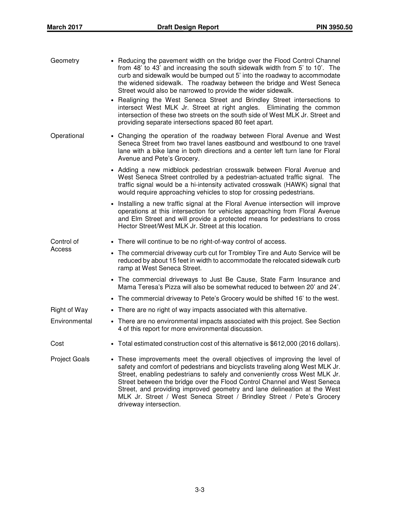| Geometry             | • Reducing the pavement width on the bridge over the Flood Control Channel<br>from 48' to 43' and increasing the south sidewalk width from 5' to 10'. The<br>curb and sidewalk would be bumped out 5' into the roadway to accommodate<br>the widened sidewalk. The roadway between the bridge and West Seneca<br>Street would also be narrowed to provide the wider sidewalk.                                                                                                                       |
|----------------------|-----------------------------------------------------------------------------------------------------------------------------------------------------------------------------------------------------------------------------------------------------------------------------------------------------------------------------------------------------------------------------------------------------------------------------------------------------------------------------------------------------|
|                      | Realigning the West Seneca Street and Brindley Street intersections to<br>intersect West MLK Jr. Street at right angles. Eliminating the common<br>intersection of these two streets on the south side of West MLK Jr. Street and<br>providing separate intersections spaced 80 feet apart.                                                                                                                                                                                                         |
| Operational          | • Changing the operation of the roadway between Floral Avenue and West<br>Seneca Street from two travel lanes eastbound and westbound to one travel<br>lane with a bike lane in both directions and a center left turn lane for Floral<br>Avenue and Pete's Grocery.                                                                                                                                                                                                                                |
|                      | • Adding a new midblock pedestrian crosswalk between Floral Avenue and<br>West Seneca Street controlled by a pedestrian-actuated traffic signal. The<br>traffic signal would be a hi-intensity activated crosswalk (HAWK) signal that<br>would require approaching vehicles to stop for crossing pedestrians.                                                                                                                                                                                       |
|                      | Installing a new traffic signal at the Floral Avenue intersection will improve<br>$\bullet$<br>operations at this intersection for vehicles approaching from Floral Avenue<br>and Elm Street and will provide a protected means for pedestrians to cross<br>Hector Street/West MLK Jr. Street at this location.                                                                                                                                                                                     |
| Control of           | • There will continue to be no right-of-way control of access.                                                                                                                                                                                                                                                                                                                                                                                                                                      |
| Access               | • The commercial driveway curb cut for Trombley Tire and Auto Service will be<br>reduced by about 15 feet in width to accommodate the relocated sidewalk curb<br>ramp at West Seneca Street.                                                                                                                                                                                                                                                                                                        |
|                      | • The commercial driveways to Just Be Cause, State Farm Insurance and<br>Mama Teresa's Pizza will also be somewhat reduced to between 20' and 24'.                                                                                                                                                                                                                                                                                                                                                  |
|                      | • The commercial driveway to Pete's Grocery would be shifted 16' to the west.                                                                                                                                                                                                                                                                                                                                                                                                                       |
| <b>Right of Way</b>  | • There are no right of way impacts associated with this alternative.                                                                                                                                                                                                                                                                                                                                                                                                                               |
| Environmental        | • There are no environmental impacts associated with this project. See Section<br>4 of this report for more environmental discussion.                                                                                                                                                                                                                                                                                                                                                               |
| Cost                 | • Total estimated construction cost of this alternative is \$612,000 (2016 dollars).                                                                                                                                                                                                                                                                                                                                                                                                                |
| <b>Project Goals</b> | These improvements meet the overall objectives of improving the level of<br>safety and comfort of pedestrians and bicyclists traveling along West MLK Jr.<br>Street, enabling pedestrians to safely and conveniently cross West MLK Jr.<br>Street between the bridge over the Flood Control Channel and West Seneca<br>Street, and providing improved geometry and lane delineation at the West<br>MLK Jr. Street / West Seneca Street / Brindley Street / Pete's Grocery<br>driveway intersection. |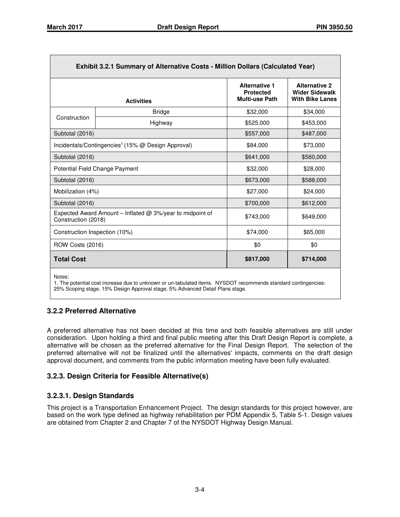| <b>Exhibit 3.2.1 Summary of Alternative Costs - Million Dollars (Calculated Year)</b> |                                                                |                                                                   |                                                                         |  |  |  |
|---------------------------------------------------------------------------------------|----------------------------------------------------------------|-------------------------------------------------------------------|-------------------------------------------------------------------------|--|--|--|
|                                                                                       | <b>Activities</b>                                              | <b>Alternative 1</b><br><b>Protected</b><br><b>Multi-use Path</b> | <b>Alternative 2</b><br><b>Wider Sidewalk</b><br><b>With Bike Lanes</b> |  |  |  |
|                                                                                       | <b>Bridge</b>                                                  | \$32,000                                                          | \$34,000                                                                |  |  |  |
| Construction                                                                          | Highway                                                        | \$525,000                                                         | \$453,000                                                               |  |  |  |
| Subtotal (2016)                                                                       |                                                                | \$557,000                                                         | \$487,000                                                               |  |  |  |
|                                                                                       | Incidentals/Contingencies <sup>1</sup> (15% @ Design Approval) | \$84,000                                                          | \$73,000                                                                |  |  |  |
| Subtotal (2016)                                                                       |                                                                | \$641,000                                                         | \$560,000                                                               |  |  |  |
|                                                                                       | Potential Field Change Payment                                 | \$32,000                                                          | \$28,000                                                                |  |  |  |
| Subtotal (2016)                                                                       |                                                                | \$673,000                                                         | \$588,000                                                               |  |  |  |
| Mobilization (4%)                                                                     |                                                                | \$27,000                                                          | \$24,000                                                                |  |  |  |
| Subtotal (2016)                                                                       |                                                                | \$700,000                                                         | \$612,000                                                               |  |  |  |
| Construction (2018)                                                                   | Expected Award Amount - Inflated @ 3%/year to midpoint of      | \$743,000                                                         | \$649,000                                                               |  |  |  |
| Construction Inspection (10%)                                                         |                                                                | \$74,000                                                          | \$65,000                                                                |  |  |  |
| <b>ROW Costs (2016)</b>                                                               |                                                                | \$0                                                               | \$0                                                                     |  |  |  |
| <b>Total Cost</b>                                                                     |                                                                | \$817,000                                                         | \$714,000                                                               |  |  |  |
| Notes:                                                                                |                                                                |                                                                   |                                                                         |  |  |  |

1. The potential cost increase due to unknown or un-tabulated items. NYSDOT recommends standard contingencies: 25% Scoping stage, 15% Design Approval stage, 5% Advanced Detail Plans stage.

## **3.2.2 Preferred Alternative**

A preferred alternative has not been decided at this time and both feasible alternatives are still under consideration. Upon holding a third and final public meeting after this Draft Design Report is complete, a alternative will be chosen as the preferred alternative for the Final Design Report. The selection of the preferred alternative will not be finalized until the alternatives' impacts, comments on the draft design approval document, and comments from the public information meeting have been fully evaluated.

## **3.2.3. Design Criteria for Feasible Alternative(s)**

## **3.2.3.1. Design Standards**

This project is a Transportation Enhancement Project. The design standards for this project however, are based on the work type defined as highway rehabilitation per PDM Appendix 5, Table 5-1. Design values are obtained from Chapter 2 and Chapter 7 of the NYSDOT Highway Design Manual.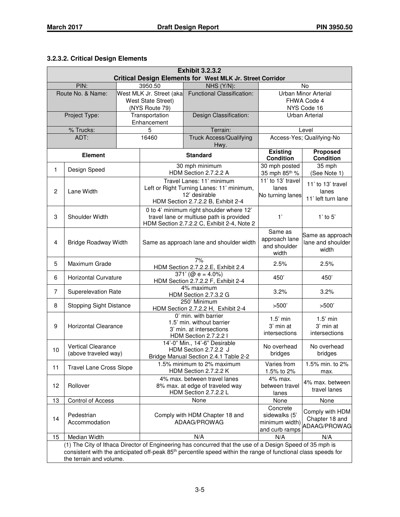## **3.2.3.2. Critical Design Elements**

| Critical Design Elements for West MLK Jr. Street Corridor<br>PIN:<br>NHS (Y/N):<br>3950.50<br><b>No</b><br>Route No. & Name:<br>West MLK Jr. Street (aka<br>Functional Classification:<br>Urban Minor Arterial<br>FHWA Code 4<br><b>West State Street)</b><br>(NYS Route 79)<br>NYS Code 16<br>Transportation<br>Design Classification:<br>Project Type:<br>Urban Arterial<br>Enhancement<br>Terrain:<br>% Trucks:<br>5<br>Level<br>ADT:<br>16460<br><b>Truck Access/Qualifying</b><br>Access-Yes; Qualifying-No<br>Hwy.<br><b>Existing</b><br><b>Proposed</b><br>Element<br><b>Standard</b><br><b>Condition</b><br><b>Condition</b><br>30 mph posted<br>35 mph<br>30 mph minimum<br>1<br>Design Speed<br>HDM Section 2.7.2.2 A<br>35 mph 85 <sup>th</sup> %<br>(See Note 1)<br>11' to 13' travel<br>Travel Lanes: 11' minimum<br>11' to 13' travel<br>lanes<br>Left or Right Turning Lanes: 11' minimum,<br>$\overline{c}$<br>Lane Width<br>lanes<br>12' desirable<br>No turning lanes<br>11' left turn lane<br>HDM Section 2.7.2.2 B, Exhibit 2-4<br>0 to 4' minimum right shoulder where 12'<br>travel lane or multiuse path is provided<br>1'<br>$1'$ to $5'$<br>3<br>Shoulder Width<br>HDM Section 2.7.2.2 C, Exhibit 2-4, Note 2<br>Same as<br>Same as approach<br>approach lane<br>Same as approach lane and shoulder width<br>lane and shoulder<br>$\overline{4}$<br><b>Bridge Roadway Width</b><br>and shoulder<br>width<br>width<br>7%<br>Maximum Grade<br>5<br>2.5%<br>2.5%<br>HDM Section 2.7.2.2.E, Exhibit 2.4<br>$371'$ (@ e = 4.0%)<br><b>Horizontal Curvature</b><br>6<br>450'<br>450'<br>HDM Section 2.7.2.2 F, Exhibit 2-4<br>4% maximum<br>7<br>Superelevation Rate<br>3.2%<br>3.2%<br>HDM Section 2.7.3.2 G<br>250' Minimum<br>8<br><b>Stopping Sight Distance</b><br>>500'<br>>500'<br>HDM Section 2.7.2.2 H, Exhibit 2-4<br>0' min. with barrier<br>$1.5'$ min<br>$1.5'$ min<br>1.5' min. without barrier<br>3' min at<br>3' min at<br>9<br><b>Horizontal Clearance</b><br>3' min. at intersections<br>intersections<br>intersections<br>HDM Section 2.7.2.2 I<br>14'-0" Min., 14'-6" Desirable<br><b>Vertical Clearance</b><br>No overhead<br>No overhead<br>HDM Section 2.7.2.2 J<br>10<br>(above traveled way)<br>bridges<br>bridges<br>Bridge Manual Section 2.4.1 Table 2-2<br>Varies from<br>1.5% minimum to 2% maximum<br>1.5% min. to 2%<br>11<br><b>Travel Lane Cross Slope</b><br>HDM Section 2.7.2.2 K<br>1.5% to 2%<br>max.<br>4% max.<br>4% max. between travel lanes<br>4% max. between<br>8% max. at edge of traveled way<br>12<br>Rollover<br>between travel<br>travel lanes<br>HDM Section 2.7.2.2 L<br>lanes<br>None<br>13<br>Control of Access<br>None<br>None<br>Concrete<br>Comply with HDM<br>Pedestrian<br>Comply with HDM Chapter 18 and<br>sidewalks (5'<br>14<br>Chapter 18 and<br>Accommodation<br>ADAAG/PROWAG<br>minimum width)<br>ADAAG/PROWAG<br>and curb ramps<br>Median Width<br>N/A<br>N/A<br>N/A<br>15<br>(1) The City of Ithaca Director of Engineering has concurred that the use of a Design Speed of 35 mph is | <b>Exhibit 3.2.3.2</b> |  |  |  |  |  |
|------------------------------------------------------------------------------------------------------------------------------------------------------------------------------------------------------------------------------------------------------------------------------------------------------------------------------------------------------------------------------------------------------------------------------------------------------------------------------------------------------------------------------------------------------------------------------------------------------------------------------------------------------------------------------------------------------------------------------------------------------------------------------------------------------------------------------------------------------------------------------------------------------------------------------------------------------------------------------------------------------------------------------------------------------------------------------------------------------------------------------------------------------------------------------------------------------------------------------------------------------------------------------------------------------------------------------------------------------------------------------------------------------------------------------------------------------------------------------------------------------------------------------------------------------------------------------------------------------------------------------------------------------------------------------------------------------------------------------------------------------------------------------------------------------------------------------------------------------------------------------------------------------------------------------------------------------------------------------------------------------------------------------------------------------------------------------------------------------------------------------------------------------------------------------------------------------------------------------------------------------------------------------------------------------------------------------------------------------------------------------------------------------------------------------------------------------------------------------------------------------------------------------------------------------------------------------------------------------------------------------------------------------------------------------------------------------------------------------------------------------------------------------------------------------------------------------------------------------------------------------------------------------------------------------------------------------------------------------------------------------------------------------------------------------------------------------|------------------------|--|--|--|--|--|
|                                                                                                                                                                                                                                                                                                                                                                                                                                                                                                                                                                                                                                                                                                                                                                                                                                                                                                                                                                                                                                                                                                                                                                                                                                                                                                                                                                                                                                                                                                                                                                                                                                                                                                                                                                                                                                                                                                                                                                                                                                                                                                                                                                                                                                                                                                                                                                                                                                                                                                                                                                                                                                                                                                                                                                                                                                                                                                                                                                                                                                                                              |                        |  |  |  |  |  |
|                                                                                                                                                                                                                                                                                                                                                                                                                                                                                                                                                                                                                                                                                                                                                                                                                                                                                                                                                                                                                                                                                                                                                                                                                                                                                                                                                                                                                                                                                                                                                                                                                                                                                                                                                                                                                                                                                                                                                                                                                                                                                                                                                                                                                                                                                                                                                                                                                                                                                                                                                                                                                                                                                                                                                                                                                                                                                                                                                                                                                                                                              |                        |  |  |  |  |  |
|                                                                                                                                                                                                                                                                                                                                                                                                                                                                                                                                                                                                                                                                                                                                                                                                                                                                                                                                                                                                                                                                                                                                                                                                                                                                                                                                                                                                                                                                                                                                                                                                                                                                                                                                                                                                                                                                                                                                                                                                                                                                                                                                                                                                                                                                                                                                                                                                                                                                                                                                                                                                                                                                                                                                                                                                                                                                                                                                                                                                                                                                              |                        |  |  |  |  |  |
|                                                                                                                                                                                                                                                                                                                                                                                                                                                                                                                                                                                                                                                                                                                                                                                                                                                                                                                                                                                                                                                                                                                                                                                                                                                                                                                                                                                                                                                                                                                                                                                                                                                                                                                                                                                                                                                                                                                                                                                                                                                                                                                                                                                                                                                                                                                                                                                                                                                                                                                                                                                                                                                                                                                                                                                                                                                                                                                                                                                                                                                                              |                        |  |  |  |  |  |
|                                                                                                                                                                                                                                                                                                                                                                                                                                                                                                                                                                                                                                                                                                                                                                                                                                                                                                                                                                                                                                                                                                                                                                                                                                                                                                                                                                                                                                                                                                                                                                                                                                                                                                                                                                                                                                                                                                                                                                                                                                                                                                                                                                                                                                                                                                                                                                                                                                                                                                                                                                                                                                                                                                                                                                                                                                                                                                                                                                                                                                                                              |                        |  |  |  |  |  |
|                                                                                                                                                                                                                                                                                                                                                                                                                                                                                                                                                                                                                                                                                                                                                                                                                                                                                                                                                                                                                                                                                                                                                                                                                                                                                                                                                                                                                                                                                                                                                                                                                                                                                                                                                                                                                                                                                                                                                                                                                                                                                                                                                                                                                                                                                                                                                                                                                                                                                                                                                                                                                                                                                                                                                                                                                                                                                                                                                                                                                                                                              |                        |  |  |  |  |  |
|                                                                                                                                                                                                                                                                                                                                                                                                                                                                                                                                                                                                                                                                                                                                                                                                                                                                                                                                                                                                                                                                                                                                                                                                                                                                                                                                                                                                                                                                                                                                                                                                                                                                                                                                                                                                                                                                                                                                                                                                                                                                                                                                                                                                                                                                                                                                                                                                                                                                                                                                                                                                                                                                                                                                                                                                                                                                                                                                                                                                                                                                              |                        |  |  |  |  |  |
|                                                                                                                                                                                                                                                                                                                                                                                                                                                                                                                                                                                                                                                                                                                                                                                                                                                                                                                                                                                                                                                                                                                                                                                                                                                                                                                                                                                                                                                                                                                                                                                                                                                                                                                                                                                                                                                                                                                                                                                                                                                                                                                                                                                                                                                                                                                                                                                                                                                                                                                                                                                                                                                                                                                                                                                                                                                                                                                                                                                                                                                                              |                        |  |  |  |  |  |
|                                                                                                                                                                                                                                                                                                                                                                                                                                                                                                                                                                                                                                                                                                                                                                                                                                                                                                                                                                                                                                                                                                                                                                                                                                                                                                                                                                                                                                                                                                                                                                                                                                                                                                                                                                                                                                                                                                                                                                                                                                                                                                                                                                                                                                                                                                                                                                                                                                                                                                                                                                                                                                                                                                                                                                                                                                                                                                                                                                                                                                                                              |                        |  |  |  |  |  |
|                                                                                                                                                                                                                                                                                                                                                                                                                                                                                                                                                                                                                                                                                                                                                                                                                                                                                                                                                                                                                                                                                                                                                                                                                                                                                                                                                                                                                                                                                                                                                                                                                                                                                                                                                                                                                                                                                                                                                                                                                                                                                                                                                                                                                                                                                                                                                                                                                                                                                                                                                                                                                                                                                                                                                                                                                                                                                                                                                                                                                                                                              |                        |  |  |  |  |  |
|                                                                                                                                                                                                                                                                                                                                                                                                                                                                                                                                                                                                                                                                                                                                                                                                                                                                                                                                                                                                                                                                                                                                                                                                                                                                                                                                                                                                                                                                                                                                                                                                                                                                                                                                                                                                                                                                                                                                                                                                                                                                                                                                                                                                                                                                                                                                                                                                                                                                                                                                                                                                                                                                                                                                                                                                                                                                                                                                                                                                                                                                              |                        |  |  |  |  |  |
|                                                                                                                                                                                                                                                                                                                                                                                                                                                                                                                                                                                                                                                                                                                                                                                                                                                                                                                                                                                                                                                                                                                                                                                                                                                                                                                                                                                                                                                                                                                                                                                                                                                                                                                                                                                                                                                                                                                                                                                                                                                                                                                                                                                                                                                                                                                                                                                                                                                                                                                                                                                                                                                                                                                                                                                                                                                                                                                                                                                                                                                                              |                        |  |  |  |  |  |
|                                                                                                                                                                                                                                                                                                                                                                                                                                                                                                                                                                                                                                                                                                                                                                                                                                                                                                                                                                                                                                                                                                                                                                                                                                                                                                                                                                                                                                                                                                                                                                                                                                                                                                                                                                                                                                                                                                                                                                                                                                                                                                                                                                                                                                                                                                                                                                                                                                                                                                                                                                                                                                                                                                                                                                                                                                                                                                                                                                                                                                                                              |                        |  |  |  |  |  |
|                                                                                                                                                                                                                                                                                                                                                                                                                                                                                                                                                                                                                                                                                                                                                                                                                                                                                                                                                                                                                                                                                                                                                                                                                                                                                                                                                                                                                                                                                                                                                                                                                                                                                                                                                                                                                                                                                                                                                                                                                                                                                                                                                                                                                                                                                                                                                                                                                                                                                                                                                                                                                                                                                                                                                                                                                                                                                                                                                                                                                                                                              |                        |  |  |  |  |  |
|                                                                                                                                                                                                                                                                                                                                                                                                                                                                                                                                                                                                                                                                                                                                                                                                                                                                                                                                                                                                                                                                                                                                                                                                                                                                                                                                                                                                                                                                                                                                                                                                                                                                                                                                                                                                                                                                                                                                                                                                                                                                                                                                                                                                                                                                                                                                                                                                                                                                                                                                                                                                                                                                                                                                                                                                                                                                                                                                                                                                                                                                              |                        |  |  |  |  |  |
|                                                                                                                                                                                                                                                                                                                                                                                                                                                                                                                                                                                                                                                                                                                                                                                                                                                                                                                                                                                                                                                                                                                                                                                                                                                                                                                                                                                                                                                                                                                                                                                                                                                                                                                                                                                                                                                                                                                                                                                                                                                                                                                                                                                                                                                                                                                                                                                                                                                                                                                                                                                                                                                                                                                                                                                                                                                                                                                                                                                                                                                                              |                        |  |  |  |  |  |
|                                                                                                                                                                                                                                                                                                                                                                                                                                                                                                                                                                                                                                                                                                                                                                                                                                                                                                                                                                                                                                                                                                                                                                                                                                                                                                                                                                                                                                                                                                                                                                                                                                                                                                                                                                                                                                                                                                                                                                                                                                                                                                                                                                                                                                                                                                                                                                                                                                                                                                                                                                                                                                                                                                                                                                                                                                                                                                                                                                                                                                                                              |                        |  |  |  |  |  |
|                                                                                                                                                                                                                                                                                                                                                                                                                                                                                                                                                                                                                                                                                                                                                                                                                                                                                                                                                                                                                                                                                                                                                                                                                                                                                                                                                                                                                                                                                                                                                                                                                                                                                                                                                                                                                                                                                                                                                                                                                                                                                                                                                                                                                                                                                                                                                                                                                                                                                                                                                                                                                                                                                                                                                                                                                                                                                                                                                                                                                                                                              |                        |  |  |  |  |  |
|                                                                                                                                                                                                                                                                                                                                                                                                                                                                                                                                                                                                                                                                                                                                                                                                                                                                                                                                                                                                                                                                                                                                                                                                                                                                                                                                                                                                                                                                                                                                                                                                                                                                                                                                                                                                                                                                                                                                                                                                                                                                                                                                                                                                                                                                                                                                                                                                                                                                                                                                                                                                                                                                                                                                                                                                                                                                                                                                                                                                                                                                              |                        |  |  |  |  |  |
|                                                                                                                                                                                                                                                                                                                                                                                                                                                                                                                                                                                                                                                                                                                                                                                                                                                                                                                                                                                                                                                                                                                                                                                                                                                                                                                                                                                                                                                                                                                                                                                                                                                                                                                                                                                                                                                                                                                                                                                                                                                                                                                                                                                                                                                                                                                                                                                                                                                                                                                                                                                                                                                                                                                                                                                                                                                                                                                                                                                                                                                                              |                        |  |  |  |  |  |
|                                                                                                                                                                                                                                                                                                                                                                                                                                                                                                                                                                                                                                                                                                                                                                                                                                                                                                                                                                                                                                                                                                                                                                                                                                                                                                                                                                                                                                                                                                                                                                                                                                                                                                                                                                                                                                                                                                                                                                                                                                                                                                                                                                                                                                                                                                                                                                                                                                                                                                                                                                                                                                                                                                                                                                                                                                                                                                                                                                                                                                                                              |                        |  |  |  |  |  |
|                                                                                                                                                                                                                                                                                                                                                                                                                                                                                                                                                                                                                                                                                                                                                                                                                                                                                                                                                                                                                                                                                                                                                                                                                                                                                                                                                                                                                                                                                                                                                                                                                                                                                                                                                                                                                                                                                                                                                                                                                                                                                                                                                                                                                                                                                                                                                                                                                                                                                                                                                                                                                                                                                                                                                                                                                                                                                                                                                                                                                                                                              |                        |  |  |  |  |  |
|                                                                                                                                                                                                                                                                                                                                                                                                                                                                                                                                                                                                                                                                                                                                                                                                                                                                                                                                                                                                                                                                                                                                                                                                                                                                                                                                                                                                                                                                                                                                                                                                                                                                                                                                                                                                                                                                                                                                                                                                                                                                                                                                                                                                                                                                                                                                                                                                                                                                                                                                                                                                                                                                                                                                                                                                                                                                                                                                                                                                                                                                              |                        |  |  |  |  |  |
|                                                                                                                                                                                                                                                                                                                                                                                                                                                                                                                                                                                                                                                                                                                                                                                                                                                                                                                                                                                                                                                                                                                                                                                                                                                                                                                                                                                                                                                                                                                                                                                                                                                                                                                                                                                                                                                                                                                                                                                                                                                                                                                                                                                                                                                                                                                                                                                                                                                                                                                                                                                                                                                                                                                                                                                                                                                                                                                                                                                                                                                                              |                        |  |  |  |  |  |
|                                                                                                                                                                                                                                                                                                                                                                                                                                                                                                                                                                                                                                                                                                                                                                                                                                                                                                                                                                                                                                                                                                                                                                                                                                                                                                                                                                                                                                                                                                                                                                                                                                                                                                                                                                                                                                                                                                                                                                                                                                                                                                                                                                                                                                                                                                                                                                                                                                                                                                                                                                                                                                                                                                                                                                                                                                                                                                                                                                                                                                                                              |                        |  |  |  |  |  |
|                                                                                                                                                                                                                                                                                                                                                                                                                                                                                                                                                                                                                                                                                                                                                                                                                                                                                                                                                                                                                                                                                                                                                                                                                                                                                                                                                                                                                                                                                                                                                                                                                                                                                                                                                                                                                                                                                                                                                                                                                                                                                                                                                                                                                                                                                                                                                                                                                                                                                                                                                                                                                                                                                                                                                                                                                                                                                                                                                                                                                                                                              |                        |  |  |  |  |  |
|                                                                                                                                                                                                                                                                                                                                                                                                                                                                                                                                                                                                                                                                                                                                                                                                                                                                                                                                                                                                                                                                                                                                                                                                                                                                                                                                                                                                                                                                                                                                                                                                                                                                                                                                                                                                                                                                                                                                                                                                                                                                                                                                                                                                                                                                                                                                                                                                                                                                                                                                                                                                                                                                                                                                                                                                                                                                                                                                                                                                                                                                              |                        |  |  |  |  |  |
|                                                                                                                                                                                                                                                                                                                                                                                                                                                                                                                                                                                                                                                                                                                                                                                                                                                                                                                                                                                                                                                                                                                                                                                                                                                                                                                                                                                                                                                                                                                                                                                                                                                                                                                                                                                                                                                                                                                                                                                                                                                                                                                                                                                                                                                                                                                                                                                                                                                                                                                                                                                                                                                                                                                                                                                                                                                                                                                                                                                                                                                                              |                        |  |  |  |  |  |
|                                                                                                                                                                                                                                                                                                                                                                                                                                                                                                                                                                                                                                                                                                                                                                                                                                                                                                                                                                                                                                                                                                                                                                                                                                                                                                                                                                                                                                                                                                                                                                                                                                                                                                                                                                                                                                                                                                                                                                                                                                                                                                                                                                                                                                                                                                                                                                                                                                                                                                                                                                                                                                                                                                                                                                                                                                                                                                                                                                                                                                                                              |                        |  |  |  |  |  |
|                                                                                                                                                                                                                                                                                                                                                                                                                                                                                                                                                                                                                                                                                                                                                                                                                                                                                                                                                                                                                                                                                                                                                                                                                                                                                                                                                                                                                                                                                                                                                                                                                                                                                                                                                                                                                                                                                                                                                                                                                                                                                                                                                                                                                                                                                                                                                                                                                                                                                                                                                                                                                                                                                                                                                                                                                                                                                                                                                                                                                                                                              |                        |  |  |  |  |  |
|                                                                                                                                                                                                                                                                                                                                                                                                                                                                                                                                                                                                                                                                                                                                                                                                                                                                                                                                                                                                                                                                                                                                                                                                                                                                                                                                                                                                                                                                                                                                                                                                                                                                                                                                                                                                                                                                                                                                                                                                                                                                                                                                                                                                                                                                                                                                                                                                                                                                                                                                                                                                                                                                                                                                                                                                                                                                                                                                                                                                                                                                              |                        |  |  |  |  |  |
|                                                                                                                                                                                                                                                                                                                                                                                                                                                                                                                                                                                                                                                                                                                                                                                                                                                                                                                                                                                                                                                                                                                                                                                                                                                                                                                                                                                                                                                                                                                                                                                                                                                                                                                                                                                                                                                                                                                                                                                                                                                                                                                                                                                                                                                                                                                                                                                                                                                                                                                                                                                                                                                                                                                                                                                                                                                                                                                                                                                                                                                                              |                        |  |  |  |  |  |
|                                                                                                                                                                                                                                                                                                                                                                                                                                                                                                                                                                                                                                                                                                                                                                                                                                                                                                                                                                                                                                                                                                                                                                                                                                                                                                                                                                                                                                                                                                                                                                                                                                                                                                                                                                                                                                                                                                                                                                                                                                                                                                                                                                                                                                                                                                                                                                                                                                                                                                                                                                                                                                                                                                                                                                                                                                                                                                                                                                                                                                                                              |                        |  |  |  |  |  |
|                                                                                                                                                                                                                                                                                                                                                                                                                                                                                                                                                                                                                                                                                                                                                                                                                                                                                                                                                                                                                                                                                                                                                                                                                                                                                                                                                                                                                                                                                                                                                                                                                                                                                                                                                                                                                                                                                                                                                                                                                                                                                                                                                                                                                                                                                                                                                                                                                                                                                                                                                                                                                                                                                                                                                                                                                                                                                                                                                                                                                                                                              |                        |  |  |  |  |  |
|                                                                                                                                                                                                                                                                                                                                                                                                                                                                                                                                                                                                                                                                                                                                                                                                                                                                                                                                                                                                                                                                                                                                                                                                                                                                                                                                                                                                                                                                                                                                                                                                                                                                                                                                                                                                                                                                                                                                                                                                                                                                                                                                                                                                                                                                                                                                                                                                                                                                                                                                                                                                                                                                                                                                                                                                                                                                                                                                                                                                                                                                              |                        |  |  |  |  |  |
|                                                                                                                                                                                                                                                                                                                                                                                                                                                                                                                                                                                                                                                                                                                                                                                                                                                                                                                                                                                                                                                                                                                                                                                                                                                                                                                                                                                                                                                                                                                                                                                                                                                                                                                                                                                                                                                                                                                                                                                                                                                                                                                                                                                                                                                                                                                                                                                                                                                                                                                                                                                                                                                                                                                                                                                                                                                                                                                                                                                                                                                                              |                        |  |  |  |  |  |
|                                                                                                                                                                                                                                                                                                                                                                                                                                                                                                                                                                                                                                                                                                                                                                                                                                                                                                                                                                                                                                                                                                                                                                                                                                                                                                                                                                                                                                                                                                                                                                                                                                                                                                                                                                                                                                                                                                                                                                                                                                                                                                                                                                                                                                                                                                                                                                                                                                                                                                                                                                                                                                                                                                                                                                                                                                                                                                                                                                                                                                                                              |                        |  |  |  |  |  |
|                                                                                                                                                                                                                                                                                                                                                                                                                                                                                                                                                                                                                                                                                                                                                                                                                                                                                                                                                                                                                                                                                                                                                                                                                                                                                                                                                                                                                                                                                                                                                                                                                                                                                                                                                                                                                                                                                                                                                                                                                                                                                                                                                                                                                                                                                                                                                                                                                                                                                                                                                                                                                                                                                                                                                                                                                                                                                                                                                                                                                                                                              |                        |  |  |  |  |  |
|                                                                                                                                                                                                                                                                                                                                                                                                                                                                                                                                                                                                                                                                                                                                                                                                                                                                                                                                                                                                                                                                                                                                                                                                                                                                                                                                                                                                                                                                                                                                                                                                                                                                                                                                                                                                                                                                                                                                                                                                                                                                                                                                                                                                                                                                                                                                                                                                                                                                                                                                                                                                                                                                                                                                                                                                                                                                                                                                                                                                                                                                              |                        |  |  |  |  |  |
|                                                                                                                                                                                                                                                                                                                                                                                                                                                                                                                                                                                                                                                                                                                                                                                                                                                                                                                                                                                                                                                                                                                                                                                                                                                                                                                                                                                                                                                                                                                                                                                                                                                                                                                                                                                                                                                                                                                                                                                                                                                                                                                                                                                                                                                                                                                                                                                                                                                                                                                                                                                                                                                                                                                                                                                                                                                                                                                                                                                                                                                                              |                        |  |  |  |  |  |
| consistent with the anticipated off-peak 85 <sup>th</sup> percentile speed within the range of functional class speeds for<br>the terrain and volume.                                                                                                                                                                                                                                                                                                                                                                                                                                                                                                                                                                                                                                                                                                                                                                                                                                                                                                                                                                                                                                                                                                                                                                                                                                                                                                                                                                                                                                                                                                                                                                                                                                                                                                                                                                                                                                                                                                                                                                                                                                                                                                                                                                                                                                                                                                                                                                                                                                                                                                                                                                                                                                                                                                                                                                                                                                                                                                                        |                        |  |  |  |  |  |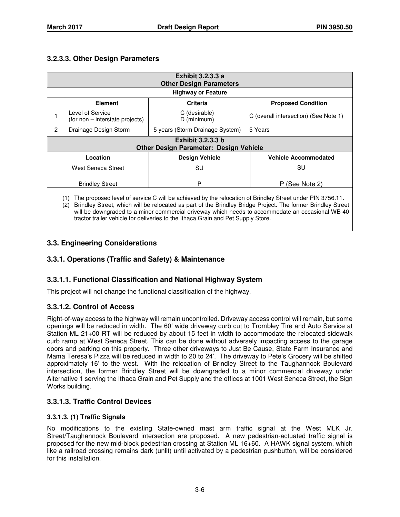## **3.2.3.3. Other Design Parameters**

|                                                                                                                                                                                                                                       | <b>Exhibit 3.2.3.3 a</b><br><b>Other Design Parameters</b>       |                                                                           |                                       |  |  |  |
|---------------------------------------------------------------------------------------------------------------------------------------------------------------------------------------------------------------------------------------|------------------------------------------------------------------|---------------------------------------------------------------------------|---------------------------------------|--|--|--|
|                                                                                                                                                                                                                                       |                                                                  | <b>Highway or Feature</b>                                                 |                                       |  |  |  |
|                                                                                                                                                                                                                                       | <b>Element</b>                                                   | <b>Criteria</b>                                                           | <b>Proposed Condition</b>             |  |  |  |
|                                                                                                                                                                                                                                       | Level of Service<br>(for non – interstate projects)              | C (desirable)<br>D (minimum)                                              | C (overall intersection) (See Note 1) |  |  |  |
| 2                                                                                                                                                                                                                                     | Drainage Design Storm                                            | 5 years (Storm Drainage System)                                           | 5 Years                               |  |  |  |
|                                                                                                                                                                                                                                       |                                                                  | <b>Exhibit 3.2.3.3 b</b><br><b>Other Design Parameter: Design Vehicle</b> |                                       |  |  |  |
|                                                                                                                                                                                                                                       | <b>Design Vehicle</b><br>Location<br><b>Vehicle Accommodated</b> |                                                                           |                                       |  |  |  |
|                                                                                                                                                                                                                                       | West Seneca Street                                               | SU                                                                        | SU                                    |  |  |  |
|                                                                                                                                                                                                                                       | P (See Note 2)<br>P<br><b>Brindley Street</b>                    |                                                                           |                                       |  |  |  |
| The proposed level of service C will be achieved by the relocation of Brindley Street under PIN 3756.11.<br>(1)<br>Brindley Street, which will be relocated as part of the Brindley Bridge Project. The former Brindley Street<br>(2) |                                                                  |                                                                           |                                       |  |  |  |

(2) Brindley Street, which will be relocated as part of the Brindley Bridge Project. The former Brindley Street will be downgraded to a minor commercial driveway which needs to accommodate an occasional WB-40 tractor trailer vehicle for deliveries to the Ithaca Grain and Pet Supply Store.

## **3.3. Engineering Considerations**

## **3.3.1. Operations (Traffic and Safety) & Maintenance**

## **3.3.1.1. Functional Classification and National Highway System**

This project will not change the functional classification of the highway.

## **3.3.1.2. Control of Access**

Right-of-way access to the highway will remain uncontrolled. Driveway access control will remain, but some openings will be reduced in width. The 60' wide driveway curb cut to Trombley Tire and Auto Service at Station ML 21+00 RT will be reduced by about 15 feet in width to accommodate the relocated sidewalk curb ramp at West Seneca Street. This can be done without adversely impacting access to the garage doors and parking on this property. Three other driveways to Just Be Cause, State Farm Insurance and Mama Teresa's Pizza will be reduced in width to 20 to 24'. The driveway to Pete's Grocery will be shifted approximately 16' to the west. With the relocation of Brindley Street to the Taughannock Boulevard intersection, the former Brindley Street will be downgraded to a minor commercial driveway under Alternative 1 serving the Ithaca Grain and Pet Supply and the offices at 1001 West Seneca Street, the Sign Works building.

## **3.3.1.3. Traffic Control Devices**

#### **3.3.1.3. (1) Traffic Signals**

No modifications to the existing State-owned mast arm traffic signal at the West MLK Jr. Street/Taughannock Boulevard intersection are proposed. A new pedestrian-actuated traffic signal is proposed for the new mid-block pedestrian crossing at Station ML 16+60. A HAWK signal system, which like a railroad crossing remains dark (unlit) until activated by a pedestrian pushbutton, will be considered for this installation.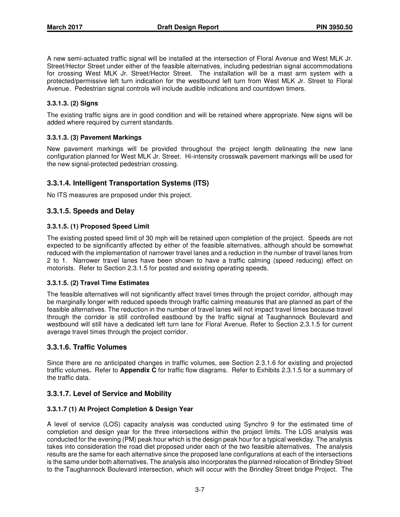A new semi-actuated traffic signal will be installed at the intersection of Floral Avenue and West MLK Jr. Street/Hector Street under either of the feasible alternatives, including pedestrian signal accommodations for crossing West MLK Jr. Street/Hector Street. The installation will be a mast arm system with a protected/permissive left turn indication for the westbound left turn from West MLK Jr. Street to Floral Avenue. Pedestrian signal controls will include audible indications and countdown timers.

## **3.3.1.3. (2) Signs**

The existing traffic signs are in good condition and will be retained where appropriate. New signs will be added where required by current standards.

#### **3.3.1.3. (3) Pavement Markings**

New pavement markings will be provided throughout the project length delineating the new lane configuration planned for West MLK Jr. Street. Hi-intensity crosswalk pavement markings will be used for the new signal-protected pedestrian crossing.

## **3.3.1.4. Intelligent Transportation Systems (ITS)**

No ITS measures are proposed under this project.

## **3.3.1.5. Speeds and Delay**

#### **3.3.1.5. (1) Proposed Speed Limit**

The existing posted speed limit of 30 mph will be retained upon completion of the project. Speeds are not expected to be significantly affected by either of the feasible alternatives, although should be somewhat reduced with the implementation of narrower travel lanes and a reduction in the number of travel lanes from 2 to 1. Narrower travel lanes have been shown to have a traffic calming (speed reducing) effect on motorists. Refer to Section 2.3.1.5 for posted and existing operating speeds.

#### **3.3.1.5. (2) Travel Time Estimates**

The feasible alternatives will not significantly affect travel times through the project corridor, although may be marginally longer with reduced speeds through traffic calming measures that are planned as part of the feasible alternatives. The reduction in the number of travel lanes will not impact travel times because travel through the corridor is still controlled eastbound by the traffic signal at Taughannock Boulevard and westbound will still have a dedicated left turn lane for Floral Avenue. Refer to Section 2.3.1.5 for current average travel times through the project corridor.

## **3.3.1.6. Traffic Volumes**

Since there are no anticipated changes in traffic volumes, see Section 2.3.1.6 for existing and projected traffic volumes**.** Refer to **Appendix C** for traffic flow diagrams. Refer to Exhibits 2.3.1.5 for a summary of the traffic data.

## **3.3.1.7. Level of Service and Mobility**

#### **3.3.1.7 (1) At Project Completion & Design Year**

A level of service (LOS) capacity analysis was conducted using Synchro 9 for the estimated time of completion and design year for the three intersections within the project limits. The LOS analysis was conducted for the evening (PM) peak hour which is the design peak hour for a typical weekday. The analysis takes into consideration the road diet proposed under each of the two feasible alternatives. The analysis results are the same for each alternative since the proposed lane configurations at each of the intersections is the same under both alternatives. The analysis also incorporates the planned relocation of Brindley Street to the Taughannock Boulevard intersection, which will occur with the Brindley Street bridge Project. The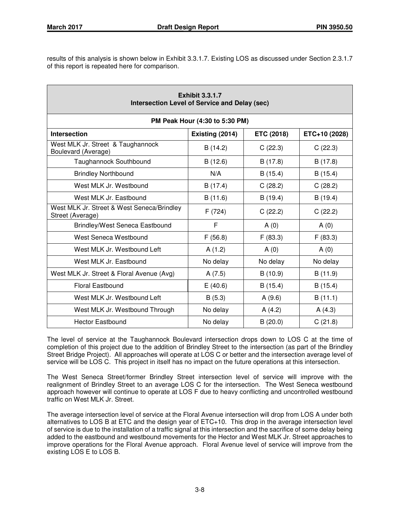results of this analysis is shown below in Exhibit 3.3.1.7. Existing LOS as discussed under Section 2.3.1.7 of this report is repeated here for comparison.

| <b>Exhibit 3.3.1.7</b><br>Intersection Level of Service and Delay (sec) |                 |            |               |
|-------------------------------------------------------------------------|-----------------|------------|---------------|
| PM Peak Hour (4:30 to 5:30 PM)                                          |                 |            |               |
| <b>Intersection</b>                                                     | Existing (2014) | ETC (2018) | ETC+10 (2028) |
| West MLK Jr. Street & Taughannock<br>Boulevard (Average)                | B(14.2)         | C(22.3)    | C(22.3)       |
| Taughannock Southbound                                                  | B(12.6)         | B(17.8)    | B(17.8)       |
| <b>Brindley Northbound</b>                                              | N/A             | B(15.4)    | B(15.4)       |
| West MLK Jr. Westbound                                                  | B(17.4)         | C(28.2)    | C(28.2)       |
| West MLK Jr. Eastbound                                                  | B(11.6)         | B(19.4)    | B(19.4)       |
| West MLK Jr. Street & West Seneca/Brindley<br>Street (Average)          | F(724)          | C(22.2)    | C(22.2)       |
| Brindley/West Seneca Eastbound                                          | F               | A(0)       | A(0)          |
| West Seneca Westbound                                                   | F(56.8)         | F(83.3)    | F(83.3)       |
| West MLK Jr. Westbound Left                                             | A(1.2)          | A(0)       | A(0)          |
| West MLK Jr. Eastbound                                                  | No delay        | No delay   | No delay      |
| West MLK Jr. Street & Floral Avenue (Avg)                               | A(7.5)          | B(10.9)    | B(11.9)       |
| <b>Floral Eastbound</b>                                                 | E(40.6)         | B(15.4)    | B(15.4)       |
| West MLK Jr. Westbound Left                                             | B(5.3)          | A(9.6)     | B(11.1)       |
| West MLK Jr. Westbound Through                                          | No delay        | A(4.2)     | A(4.3)        |
| <b>Hector Eastbound</b>                                                 | No delay        | B(20.0)    | C(21.8)       |

The level of service at the Taughannock Boulevard intersection drops down to LOS C at the time of completion of this project due to the addition of Brindley Street to the intersection (as part of the Brindley Street Bridge Project). All approaches will operate at LOS C or better and the intersection average level of service will be LOS C. This project in itself has no impact on the future operations at this intersection.

The West Seneca Street/former Brindley Street intersection level of service will improve with the realignment of Brindley Street to an average LOS C for the intersection. The West Seneca westbound approach however will continue to operate at LOS F due to heavy conflicting and uncontrolled westbound traffic on West MLK Jr. Street.

The average intersection level of service at the Floral Avenue intersection will drop from LOS A under both alternatives to LOS B at ETC and the design year of ETC+10. This drop in the average intersection level of service is due to the installation of a traffic signal at this intersection and the sacrifice of some delay being added to the eastbound and westbound movements for the Hector and West MLK Jr. Street approaches to improve operations for the Floral Avenue approach. Floral Avenue level of service will improve from the existing LOS E to LOS B.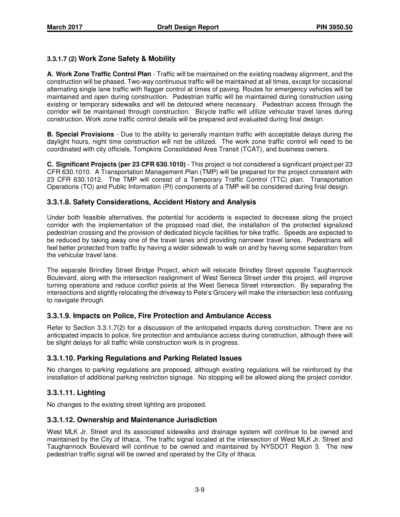## **3.3.1.7 (2) Work Zone Safety & Mobility**

**A. Work Zone Traffic Control Plan** - Traffic will be maintained on the existing roadway alignment, and the construction will be phased. Two-way continuous traffic will be maintained at all times, except for occasional alternating single lane traffic with flagger control at times of paving. Routes for emergency vehicles will be maintained and open during construction. Pedestrian traffic will be maintained during construction using existing or temporary sidewalks and will be detoured where necessary. Pedestrian access through the corridor will be maintained through construction. Bicycle traffic will utilize vehicular travel lanes during construction. Work zone traffic control details will be prepared and evaluated during final design.

**B. Special Provisions** - Due to the ability to generally maintain traffic with acceptable delays during the daylight hours, night time construction will not be utilized. The work zone traffic control will need to be coordinated with city officials, Tompkins Consolidated Area Transit (TCAT), and business owners.

**C. Significant Projects (per 23 CFR 630.1010)** - This project is not considered a significant project per 23 CFR 630.1010. A Transportation Management Plan (TMP) will be prepared for the project consistent with 23 CFR 630.1012. The TMP will consist of a Temporary Traffic Control (TTC) plan. Transportation Operations (TO) and Public Information (PI) components of a TMP will be considered during final design.

## **3.3.1.8. Safety Considerations, Accident History and Analysis**

Under both feasible alternatives, the potential for accidents is expected to decrease along the project corridor with the implementation of the proposed road diet, the installation of the protected signalized pedestrian crossing and the provision of dedicated bicycle facilities for bike traffic. Speeds are expected to be reduced by taking away one of the travel lanes and providing narrower travel lanes. Pedestrians will feel better protected from traffic by having a wider sidewalk to walk on and by having some separation from the vehicular travel lane.

The separate Brindley Street Bridge Project, which will relocate Brindley Street opposite Taughannock Boulevard, along with the intersection realignment of West Seneca Street under this project, will improve turning operations and reduce conflict points at the West Seneca Street intersection. By separating the intersections and slightly relocating the driveway to Pete's Grocery will make the intersection less confusing to navigate through.

## **3.3.1.9. Impacts on Police, Fire Protection and Ambulance Access**

Refer to Section 3.3.1.7(2) for a discussion of the anticipated impacts during construction. There are no anticipated impacts to police, fire protection and ambulance access during construction, although there will be slight delays for all traffic while construction work is in progress.

## **3.3.1.10. Parking Regulations and Parking Related Issues**

No changes to parking regulations are proposed, although existing regulations will be reinforced by the installation of additional parking restriction signage. No stopping will be allowed along the project corridor.

## **3.3.1.11. Lighting**

No changes to the existing street lighting are proposed.

## **3.3.1.12. Ownership and Maintenance Jurisdiction**

West MLK Jr. Street and its associated sidewalks and drainage system will continue to be owned and maintained by the City of Ithaca. The traffic signal located at the intersection of West MLK Jr. Street and Taughannock Boulevard will continue to be owned and maintained by NYSDOT Region 3. The new pedestrian traffic signal will be owned and operated by the City of Ithaca.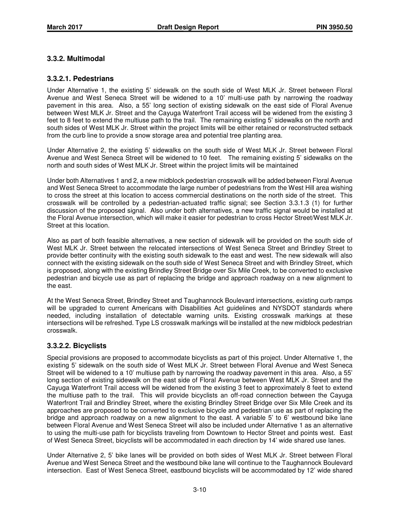## **3.3.2. Multimodal**

## **3.3.2.1. Pedestrians**

Under Alternative 1, the existing 5' sidewalk on the south side of West MLK Jr. Street between Floral Avenue and West Seneca Street will be widened to a 10' multi-use path by narrowing the roadway pavement in this area. Also, a 55' long section of existing sidewalk on the east side of Floral Avenue between West MLK Jr. Street and the Cayuga Waterfront Trail access will be widened from the existing 3 feet to 8 feet to extend the multiuse path to the trail. The remaining existing 5' sidewalks on the north and south sides of West MLK Jr. Street within the project limits will be either retained or reconstructed setback from the curb line to provide a snow storage area and potential tree planting area.

Under Alternative 2, the existing 5' sidewalks on the south side of West MLK Jr. Street between Floral Avenue and West Seneca Street will be widened to 10 feet. The remaining existing 5' sidewalks on the north and south sides of West MLK Jr. Street within the project limits will be maintained

Under both Alternatives 1 and 2, a new midblock pedestrian crosswalk will be added between Floral Avenue and West Seneca Street to accommodate the large number of pedestrians from the West Hill area wishing to cross the street at this location to access commercial destinations on the north side of the street. This crosswalk will be controlled by a pedestrian-actuated traffic signal; see Section 3.3.1.3 (1) for further discussion of the proposed signal. Also under both alternatives, a new traffic signal would be installed at the Floral Avenue intersection, which will make it easier for pedestrian to cross Hector Street/West MLK Jr. Street at this location.

Also as part of both feasible alternatives, a new section of sidewalk will be provided on the south side of West MLK Jr. Street between the relocated intersections of West Seneca Street and Brindley Street to provide better continuity with the existing south sidewalk to the east and west. The new sidewalk will also connect with the existing sidewalk on the south side of West Seneca Street and with Brindley Street, which is proposed, along with the existing Brindley Street Bridge over Six Mile Creek, to be converted to exclusive pedestrian and bicycle use as part of replacing the bridge and approach roadway on a new alignment to the east.

At the West Seneca Street, Brindley Street and Taughannock Boulevard intersections, existing curb ramps will be upgraded to current Americans with Disabilities Act guidelines and NYSDOT standards where needed, including installation of detectable warning units. Existing crosswalk markings at these intersections will be refreshed. Type LS crosswalk markings will be installed at the new midblock pedestrian crosswalk.

#### **3.3.2.2. Bicyclists**

Special provisions are proposed to accommodate bicyclists as part of this project. Under Alternative 1, the existing 5' sidewalk on the south side of West MLK Jr. Street between Floral Avenue and West Seneca Street will be widened to a 10' multiuse path by narrowing the roadway pavement in this area. Also, a 55' long section of existing sidewalk on the east side of Floral Avenue between West MLK Jr. Street and the Cayuga Waterfront Trail access will be widened from the existing 3 feet to approximately 8 feet to extend the multiuse path to the trail. This will provide bicyclists an off-road connection between the Cayuga Waterfront Trail and Brindley Street, where the existing Brindley Street Bridge over Six Mile Creek and its approaches are proposed to be converted to exclusive bicycle and pedestrian use as part of replacing the bridge and approach roadway on a new alignment to the east. A variable 5' to 6' westbound bike lane between Floral Avenue and West Seneca Street will also be included under Alternative 1 as an alternative to using the multi-use path for bicyclists traveling from Downtown to Hector Street and points west. East of West Seneca Street, bicyclists will be accommodated in each direction by 14' wide shared use lanes.

Under Alternative 2, 5' bike lanes will be provided on both sides of West MLK Jr. Street between Floral Avenue and West Seneca Street and the westbound bike lane will continue to the Taughannock Boulevard intersection. East of West Seneca Street, eastbound bicyclists will be accommodated by 12' wide shared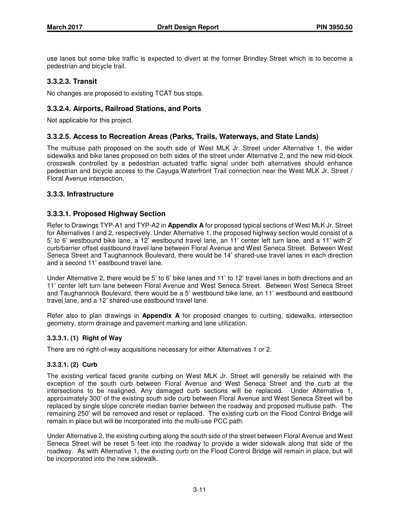use lanes but some bike traffic is expected to divert at the former Brindley Street which is to become a pedestrian and bicycle trail.

## **3.3.2.3. Transit**

No changes are proposed to existing TCAT bus stops.

## **3.3.2.4. Airports, Railroad Stations, and Ports**

Not applicable for this project.

#### **3.3.2.5. Access to Recreation Areas (Parks, Trails, Waterways, and State Lands)**

The multiuse path proposed on the south side of West MLK Jr. Street under Alternative 1, the wider sidewalks and bike lanes proposed on both sides of the street under Alternative 2, and the new mid-block crosswalk controlled by a pedestrian actuated traffic signal under both alternatives should enhance pedestrian and bicycle access to the Cayuga Waterfront Trail connection near the West MLK Jr. Street / Floral Avenue intersection.

#### **3.3.3. Infrastructure**

#### **3.3.3.1. Proposed Highway Section**

Refer to Drawings TYP-A1 and TYP-A2 in **Appendix A** for proposed typical sections of West MLK Jr. Street for Alternatives I and 2, respectively. Under Alternative 1, the proposed highway section would consist of a 5' to 6' westbound bike lane, a 12' westbound travel lane, an 11' center left turn lane, and a 11' with 2' curb/barrier offset eastbound travel lane between Floral Avenue and West Seneca Street. Between West Seneca Street and Taughannock Boulevard, there would be 14' shared-use travel lanes in each direction and a second 11' eastbound travel lane.

Under Alternative 2, there would be 5' to 6' bike lanes and 11' to 12' travel lanes in both directions and an 11' center left turn lane between Floral Avenue and West Seneca Street. Between West Seneca Street and Taughannock Boulevard, there would be a 5' westbound bike lane, an 11' westbound and eastbound travel lane, and a 12' shared-use eastbound travel lane.

Refer also to plan drawings in **Appendix A** for proposed changes to curbing, sidewalks, intersection geometry, storm drainage and pavement marking and lane utilization.

#### **3.3.3.1. (1) Right of Way**

There are no right-of-way acquisitions necessary for either Alternatives 1 or 2.

#### **3.3.3.1. (2) Curb**

The existing vertical faced granite curbing on West MLK Jr. Street will generally be retained with the exception of the south curb between Floral Avenue and West Seneca Street and the curb at the intersections to be realigned. Any damaged curb sections will be replaced. Under Alternative 1, approximately 300' of the existing south side curb between Floral Avenue and West Seneca Street will be replaced by single slope concrete median barrier between the roadway and proposed multiuse path. The remaining 250' will be removed and reset or replaced. The existing curb on the Flood Control Bridge will remain in place but will be incorporated into the multi-use PCC path.

Under Alternative 2, the existing curbing along the south side of the street between Floral Avenue and West Seneca Street will be reset 5 feet into the roadway to provide a wider sidewalk along that side of the roadway. As with Alternative 1, the existing curb on the Flood Control Bridge will remain in place, but will be incorporated into the new sidewalk.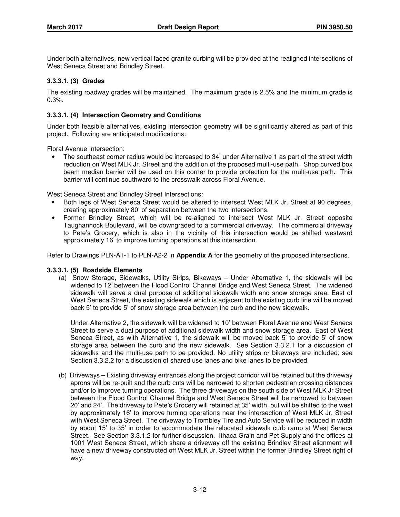Under both alternatives, new vertical faced granite curbing will be provided at the realigned intersections of West Seneca Street and Brindley Street.

#### **3.3.3.1. (3) Grades**

The existing roadway grades will be maintained. The maximum grade is 2.5% and the minimum grade is 0.3%.

#### **3.3.3.1. (4) Intersection Geometry and Conditions**

Under both feasible alternatives, existing intersection geometry will be significantly altered as part of this project. Following are anticipated modifications:

Floral Avenue Intersection:

• The southeast corner radius would be increased to 34' under Alternative 1 as part of the street width reduction on West MLK Jr. Street and the addition of the proposed multi-use path. Shop curved box beam median barrier will be used on this corner to provide protection for the multi-use path. This barrier will continue southward to the crosswalk across Floral Avenue.

West Seneca Street and Brindley Street Intersections:

- Both legs of West Seneca Street would be altered to intersect West MLK Jr. Street at 90 degrees, creating approximately 80' of separation between the two intersections.
- Former Brindley Street, which will be re-aligned to intersect West MLK Jr. Street opposite Taughannock Boulevard, will be downgraded to a commercial driveway. The commercial driveway to Pete's Grocery, which is also in the vicinity of this intersection would be shifted westward approximately 16' to improve turning operations at this intersection.

Refer to Drawings PLN-A1-1 to PLN-A2-2 in **Appendix A** for the geometry of the proposed intersections.

#### **3.3.3.1. (5) Roadside Elements**

(a) Snow Storage, Sidewalks, Utility Strips, Bikeways – Under Alternative 1, the sidewalk will be widened to 12' between the Flood Control Channel Bridge and West Seneca Street. The widened sidewalk will serve a dual purpose of additional sidewalk width and snow storage area. East of West Seneca Street, the existing sidewalk which is adjacent to the existing curb line will be moved back 5' to provide 5' of snow storage area between the curb and the new sidewalk.

 Under Alternative 2, the sidewalk will be widened to 10' between Floral Avenue and West Seneca Street to serve a dual purpose of additional sidewalk width and snow storage area. East of West Seneca Street, as with Alternative 1, the sidewalk will be moved back 5' to provide 5' of snow storage area between the curb and the new sidewalk. See Section 3.3.2.1 for a discussion of sidewalks and the multi-use path to be provided. No utility strips or bikeways are included; see Section 3.3.2.2 for a discussion of shared use lanes and bike lanes to be provided.

(b) Driveways – Existing driveway entrances along the project corridor will be retained but the driveway aprons will be re-built and the curb cuts will be narrowed to shorten pedestrian crossing distances and/or to improve turning operations. The three driveways on the south side of West MLK Jr Street between the Flood Control Channel Bridge and West Seneca Street will be narrowed to between 20' and 24'. The driveway to Pete's Grocery will retained at 35' width, but will be shifted to the west by approximately 16' to improve turning operations near the intersection of West MLK Jr. Street with West Seneca Street. The driveway to Trombley Tire and Auto Service will be reduced in width by about 15' to 35' in order to accommodate the relocated sidewalk curb ramp at West Seneca Street. See Section 3.3.1.2 for further discussion. Ithaca Grain and Pet Supply and the offices at 1001 West Seneca Street, which share a driveway off the existing Brindley Street alignment will have a new driveway constructed off West MLK Jr. Street within the former Brindley Street right of way.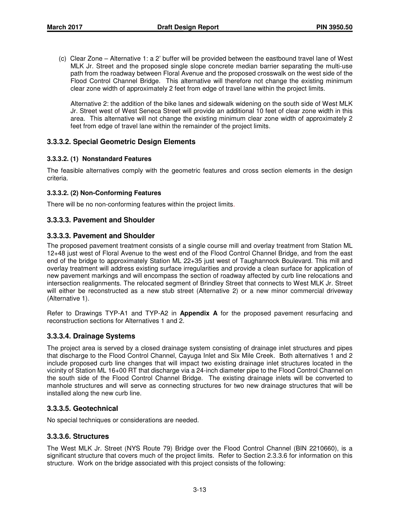(c) Clear Zone – Alternative 1: a 2' buffer will be provided between the eastbound travel lane of West MLK Jr. Street and the proposed single slope concrete median barrier separating the multi-use path from the roadway between Floral Avenue and the proposed crosswalk on the west side of the Flood Control Channel Bridge. This alternative will therefore not change the existing minimum clear zone width of approximately 2 feet from edge of travel lane within the project limits.

Alternative 2: the addition of the bike lanes and sidewalk widening on the south side of West MLK Jr. Street west of West Seneca Street will provide an additional 10 feet of clear zone width in this area. This alternative will not change the existing minimum clear zone width of approximately 2 feet from edge of travel lane within the remainder of the project limits.

## **3.3.3.2. Special Geometric Design Elements**

#### **3.3.3.2. (1) Nonstandard Features**

The feasible alternatives comply with the geometric features and cross section elements in the design criteria.

#### **3.3.3.2. (2) Non-Conforming Features**

There will be no non-conforming features within the project limits.

## **3.3.3.3. Pavement and Shoulder**

#### **3.3.3.3. Pavement and Shoulder**

The proposed pavement treatment consists of a single course mill and overlay treatment from Station ML 12+48 just west of Floral Avenue to the west end of the Flood Control Channel Bridge, and from the east end of the bridge to approximately Station ML 22+35 just west of Taughannock Boulevard. This mill and overlay treatment will address existing surface irregularities and provide a clean surface for application of new pavement markings and will encompass the section of roadway affected by curb line relocations and intersection realignments. The relocated segment of Brindley Street that connects to West MLK Jr. Street will either be reconstructed as a new stub street (Alternative 2) or a new minor commercial driveway (Alternative 1).

Refer to Drawings TYP-A1 and TYP-A2 in **Appendix A** for the proposed pavement resurfacing and reconstruction sections for Alternatives 1 and 2.

#### **3.3.3.4. Drainage Systems**

The project area is served by a closed drainage system consisting of drainage inlet structures and pipes that discharge to the Flood Control Channel, Cayuga Inlet and Six Mile Creek. Both alternatives 1 and 2 include proposed curb line changes that will impact two existing drainage inlet structures located in the vicinity of Station ML 16+00 RT that discharge via a 24-inch diameter pipe to the Flood Control Channel on the south side of the Flood Control Channel Bridge. The existing drainage inlets will be converted to manhole structures and will serve as connecting structures for two new drainage structures that will be installed along the new curb line.

#### **3.3.3.5. Geotechnical**

No special techniques or considerations are needed.

#### **3.3.3.6. Structures**

The West MLK Jr. Street (NYS Route 79) Bridge over the Flood Control Channel (BIN 2210660), is a significant structure that covers much of the project limits. Refer to Section 2.3.3.6 for information on this structure. Work on the bridge associated with this project consists of the following: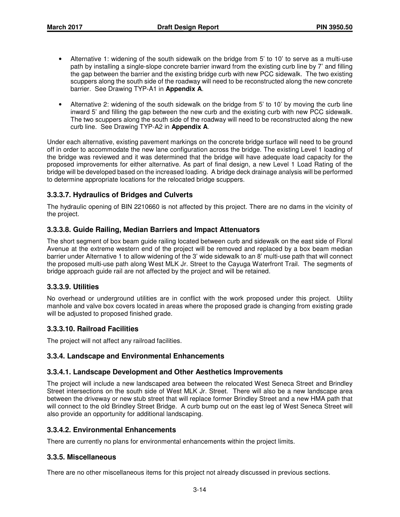- Alternative 1: widening of the south sidewalk on the bridge from 5' to 10' to serve as a multi-use path by installing a single-slope concrete barrier inward from the existing curb line by 7' and filling the gap between the barrier and the existing bridge curb with new PCC sidewalk. The two existing scuppers along the south side of the roadway will need to be reconstructed along the new concrete barrier. See Drawing TYP-A1 in **Appendix A**.
- Alternative 2: widening of the south sidewalk on the bridge from 5' to 10' by moving the curb line inward 5' and filling the gap between the new curb and the existing curb with new PCC sidewalk. The two scuppers along the south side of the roadway will need to be reconstructed along the new curb line. See Drawing TYP-A2 in **Appendix A**.

Under each alternative, existing pavement markings on the concrete bridge surface will need to be ground off in order to accommodate the new lane configuration across the bridge. The existing Level 1 loading of the bridge was reviewed and it was determined that the bridge will have adequate load capacity for the proposed improvements for either alternative. As part of final design, a new Level 1 Load Rating of the bridge will be developed based on the increased loading. A bridge deck drainage analysis will be performed to determine appropriate locations for the relocated bridge scuppers.

## **3.3.3.7. Hydraulics of Bridges and Culverts**

The hydraulic opening of BIN 2210660 is not affected by this project. There are no dams in the vicinity of the project.

## **3.3.3.8. Guide Railing, Median Barriers and Impact Attenuators**

The short segment of box beam guide railing located between curb and sidewalk on the east side of Floral Avenue at the extreme western end of the project will be removed and replaced by a box beam median barrier under Alternative 1 to allow widening of the 3' wide sidewalk to an 8' multi-use path that will connect the proposed multi-use path along West MLK Jr. Street to the Cayuga Waterfront Trail. The segments of bridge approach guide rail are not affected by the project and will be retained.

#### **3.3.3.9. Utilities**

No overhead or underground utilities are in conflict with the work proposed under this project. Utility manhole and valve box covers located in areas where the proposed grade is changing from existing grade will be adjusted to proposed finished grade.

#### **3.3.3.10. Railroad Facilities**

The project will not affect any railroad facilities.

#### **3.3.4. Landscape and Environmental Enhancements**

#### **3.3.4.1. Landscape Development and Other Aesthetics Improvements**

The project will include a new landscaped area between the relocated West Seneca Street and Brindley Street intersections on the south side of West MLK Jr. Street. There will also be a new landscape area between the driveway or new stub street that will replace former Brindley Street and a new HMA path that will connect to the old Brindley Street Bridge. A curb bump out on the east leg of West Seneca Street will also provide an opportunity for additional landscaping.

#### **3.3.4.2. Environmental Enhancements**

There are currently no plans for environmental enhancements within the project limits.

#### **3.3.5. Miscellaneous**

There are no other miscellaneous items for this project not already discussed in previous sections.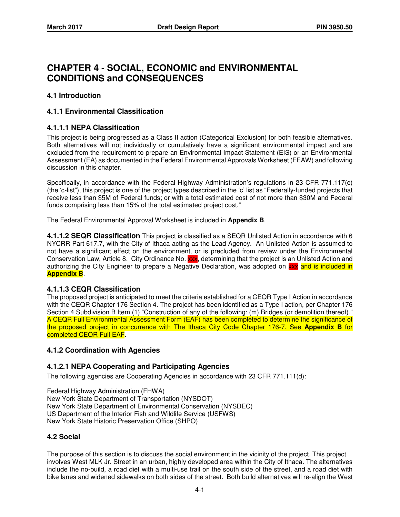## **CHAPTER 4 - SOCIAL, ECONOMIC and ENVIRONMENTAL CONDITIONS and CONSEQUENCES**

## **4.1 Introduction**

## **4.1.1 Environmental Classification**

## **4.1.1.1 NEPA Classification**

This project is being progressed as a Class II action (Categorical Exclusion) for both feasible alternatives. Both alternatives will not individually or cumulatively have a significant environmental impact and are excluded from the requirement to prepare an Environmental Impact Statement (EIS) or an Environmental Assessment (EA) as documented in the Federal Environmental Approvals Worksheet (FEAW) and following discussion in this chapter.

Specifically, in accordance with the Federal Highway Administration's regulations in 23 CFR 771.117(c) (the 'c-list"), this project is one of the project types described in the 'c' list as "Federally-funded projects that receive less than \$5M of Federal funds; or with a total estimated cost of not more than \$30M and Federal funds comprising less than 15% of the total estimated project cost."

The Federal Environmental Approval Worksheet is included in **Appendix B**.

**4.1.1.2 SEQR Classification** This project is classified as a SEQR Unlisted Action in accordance with 6 NYCRR Part 617.7, with the City of Ithaca acting as the Lead Agency. An Unlisted Action is assumed to not have a significant effect on the environment, or is precluded from review under the Environmental Conservation Law, Article 8. City Ordinance No. xxx, determining that the project is an Unlisted Action and authorizing the City Engineer to prepare a Negative Declaration, was adopted on xxx and is included in **Appendix B**.

## **4.1.1.3 CEQR Classification**

The proposed project is anticipated to meet the criteria established for a CEQR Type I Action in accordance with the CEQR Chapter 176 Section 4. The project has been identified as a Type I action, per Chapter 176 Section 4 Subdivision B Item (1) "Construction of any of the following: (m) Bridges (or demolition thereof)." A CEQR Full Environmental Assessment Form (EAF) has been completed to determine the significance of the proposed project in concurrence with The Ithaca City Code Chapter 176-7. See **Appendix B** for completed CEQR Full EAF.

## **4.1.2 Coordination with Agencies**

## **4.1.2.1 NEPA Cooperating and Participating Agencies**

The following agencies are Cooperating Agencies in accordance with 23 CFR 771.111(d):

Federal Highway Administration (FHWA) New York State Department of Transportation (NYSDOT) New York State Department of Environmental Conservation (NYSDEC) US Department of the Interior Fish and Wildlife Service (USFWS) New York State Historic Preservation Office (SHPO)

## **4.2 Social**

The purpose of this section is to discuss the social environment in the vicinity of the project. This project involves West MLK Jr. Street in an urban, highly developed area within the City of Ithaca. The alternatives include the no-build, a road diet with a multi-use trail on the south side of the street, and a road diet with bike lanes and widened sidewalks on both sides of the street. Both build alternatives will re-align the West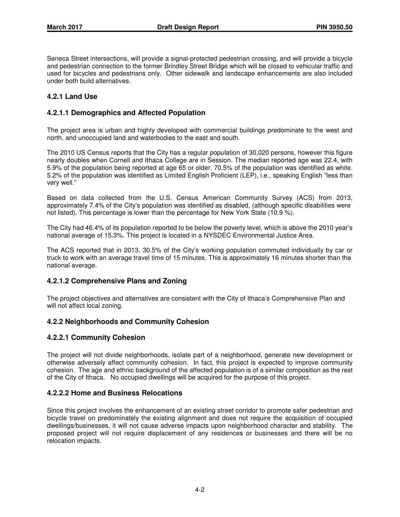Seneca Street intersections, will provide a signal-protected pedestrian crossing, and will provide a bicycle and pedestrian connection to the former Brindley Street Bridge which will be closed to vehicular traffic and used for bicycles and pedestrians only. Other sidewalk and landscape enhancements are also included under both build alternatives.

## **4.2.1 Land Use**

## **4.2.1.1 Demographics and Affected Population**

The project area is urban and highly developed with commercial buildings predominate to the west and north, and unoccupied land and waterbodies to the east and south.

The 2010 US Census reports that the City has a regular population of 30,020 persons, however this figure nearly doubles when Cornell and Ithaca College are in Session. The median reported age was 22.4, with 5.9% of the population being reported at age 65 or older. 70.5% of the population was identified as white. 5.2% of the population was identified as Limited English Proficient (LEP), i.e., speaking English "less than very well."

Based on data collected from the U.S. Census American Community Survey (ACS) from 2013, approximately 7.4% of the City's population was identified as disabled, (although specific disabilities were not listed). This percentage is lower than the percentage for New York State (10.9 %).

The City had 46.4% of its population reported to be below the poverty level, which is above the 2010 year's national average of 15.3%. This project is located in a NYSDEC Environmental Justice Area.

The ACS reported that in 2013, 30.5% of the City's working population commuted individually by car or truck to work with an average travel time of 15 minutes. This is approximately 16 minutes shorter than the national average.

#### **4.2.1.2 Comprehensive Plans and Zoning**

The project objectives and alternatives are consistent with the City of Ithaca's Comprehensive Plan and will not affect local zoning.

## **4.2.2 Neighborhoods and Community Cohesion**

## **4.2.2.1 Community Cohesion**

The project will not divide neighborhoods, isolate part of a neighborhood, generate new development or otherwise adversely affect community cohesion. In fact, this project is expected to improve community cohesion. The age and ethnic background of the affected population is of a similar composition as the rest of the City of Ithaca. No occupied dwellings will be acquired for the purpose of this project.

#### **4.2.2.2 Home and Business Relocations**

Since this project involves the enhancement of an existing street corridor to promote safer pedestrian and bicycle travel on predominately the existing alignment and does not require the acquisition of occupied dwellings/businesses, it will not cause adverse impacts upon neighborhood character and stability. The proposed project will not require displacement of any residences or businesses and there will be no relocation impacts.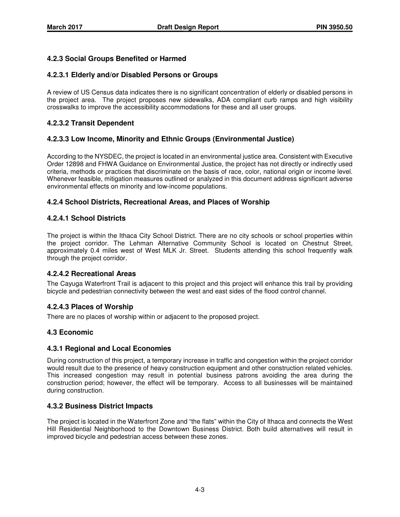## **4.2.3 Social Groups Benefited or Harmed**

## **4.2.3.1 Elderly and/or Disabled Persons or Groups**

A review of US Census data indicates there is no significant concentration of elderly or disabled persons in the project area. The project proposes new sidewalks, ADA compliant curb ramps and high visibility crosswalks to improve the accessibility accommodations for these and all user groups.

## **4.2.3.2 Transit Dependent**

## **4.2.3.3 Low Income, Minority and Ethnic Groups (Environmental Justice)**

According to the NYSDEC, the project is located in an environmental justice area. Consistent with Executive Order 12898 and FHWA Guidance on Environmental Justice, the project has not directly or indirectly used criteria, methods or practices that discriminate on the basis of race, color, national origin or income level. Whenever feasible, mitigation measures outlined or analyzed in this document address significant adverse environmental effects on minority and low-income populations.

## **4.2.4 School Districts, Recreational Areas, and Places of Worship**

#### **4.2.4.1 School Districts**

The project is within the Ithaca City School District. There are no city schools or school properties within the project corridor. The Lehman Alternative Community School is located on Chestnut Street, approximately 0.4 miles west of West MLK Jr. Street. Students attending this school frequently walk through the project corridor.

#### **4.2.4.2 Recreational Areas**

The Cayuga Waterfront Trail is adjacent to this project and this project will enhance this trail by providing bicycle and pedestrian connectivity between the west and east sides of the flood control channel.

#### **4.2.4.3 Places of Worship**

There are no places of worship within or adjacent to the proposed project.

## **4.3 Economic**

#### **4.3.1 Regional and Local Economies**

During construction of this project, a temporary increase in traffic and congestion within the project corridor would result due to the presence of heavy construction equipment and other construction related vehicles. This increased congestion may result in potential business patrons avoiding the area during the construction period; however, the effect will be temporary. Access to all businesses will be maintained during construction.

## **4.3.2 Business District Impacts**

The project is located in the Waterfront Zone and "the flats" within the City of Ithaca and connects the West Hill Residential Neighborhood to the Downtown Business District. Both build alternatives will result in improved bicycle and pedestrian access between these zones.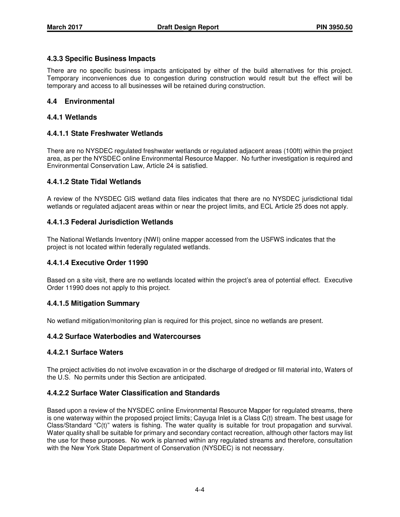## **4.3.3 Specific Business Impacts**

There are no specific business impacts anticipated by either of the build alternatives for this project. Temporary inconveniences due to congestion during construction would result but the effect will be temporary and access to all businesses will be retained during construction.

## **4.4 Environmental**

## **4.4.1 Wetlands**

## **4.4.1.1 State Freshwater Wetlands**

There are no NYSDEC regulated freshwater wetlands or regulated adjacent areas (100ft) within the project area, as per the NYSDEC online Environmental Resource Mapper. No further investigation is required and Environmental Conservation Law, Article 24 is satisfied.

## **4.4.1.2 State Tidal Wetlands**

A review of the NYSDEC GIS wetland data files indicates that there are no NYSDEC jurisdictional tidal wetlands or regulated adjacent areas within or near the project limits, and ECL Article 25 does not apply.

## **4.4.1.3 Federal Jurisdiction Wetlands**

The National Wetlands Inventory (NWI) online mapper accessed from the USFWS indicates that the project is not located within federally regulated wetlands.

## **4.4.1.4 Executive Order 11990**

Based on a site visit, there are no wetlands located within the project's area of potential effect. Executive Order 11990 does not apply to this project.

#### **4.4.1.5 Mitigation Summary**

No wetland mitigation/monitoring plan is required for this project, since no wetlands are present.

#### **4.4.2 Surface Waterbodies and Watercourses**

#### **4.4.2.1 Surface Waters**

The project activities do not involve excavation in or the discharge of dredged or fill material into, Waters of the U.S. No permits under this Section are anticipated.

## **4.4.2.2 Surface Water Classification and Standards**

Based upon a review of the NYSDEC online Environmental Resource Mapper for regulated streams, there is one waterway within the proposed project limits; Cayuga Inlet is a Class C(t) stream. The best usage for Class/Standard "C(t)" waters is fishing. The water quality is suitable for trout propagation and survival. Water quality shall be suitable for primary and secondary contact recreation, although other factors may list the use for these purposes. No work is planned within any regulated streams and therefore, consultation with the New York State Department of Conservation (NYSDEC) is not necessary.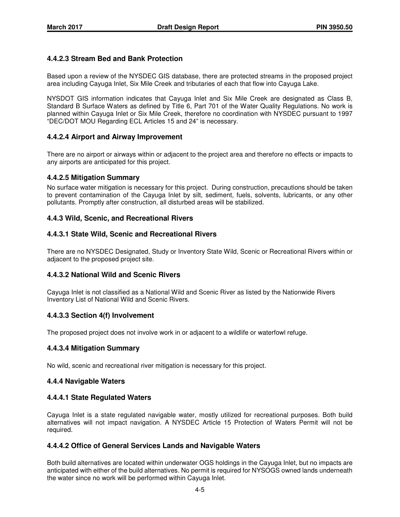## **4.4.2.3 Stream Bed and Bank Protection**

Based upon a review of the NYSDEC GIS database, there are protected streams in the proposed project area including Cayuga Inlet, Six Mile Creek and tributaries of each that flow into Cayuga Lake.

NYSDOT GIS information indicates that Cayuga Inlet and Six Mile Creek are designated as Class B, Standard B Surface Waters as defined by Title 6, Part 701 of the Water Quality Regulations. No work is planned within Cayuga Inlet or Six Mile Creek, therefore no coordination with NYSDEC pursuant to 1997 "DEC/DOT MOU Regarding ECL Articles 15 and 24" is necessary.

## **4.4.2.4 Airport and Airway Improvement**

There are no airport or airways within or adjacent to the project area and therefore no effects or impacts to any airports are anticipated for this project.

## **4.4.2.5 Mitigation Summary**

No surface water mitigation is necessary for this project. During construction, precautions should be taken to prevent contamination of the Cayuga Inlet by silt, sediment, fuels, solvents, lubricants, or any other pollutants. Promptly after construction, all disturbed areas will be stabilized.

## **4.4.3 Wild, Scenic, and Recreational Rivers**

## **4.4.3.1 State Wild, Scenic and Recreational Rivers**

There are no NYSDEC Designated, Study or Inventory State Wild, Scenic or Recreational Rivers within or adjacent to the proposed project site.

#### **4.4.3.2 National Wild and Scenic Rivers**

Cayuga Inlet is not classified as a National Wild and Scenic River as listed by the Nationwide Rivers Inventory List of National Wild and Scenic Rivers.

#### **4.4.3.3 Section 4(f) Involvement**

The proposed project does not involve work in or adjacent to a wildlife or waterfowl refuge.

#### **4.4.3.4 Mitigation Summary**

No wild, scenic and recreational river mitigation is necessary for this project.

#### **4.4.4 Navigable Waters**

#### **4.4.4.1 State Regulated Waters**

Cayuga Inlet is a state regulated navigable water, mostly utilized for recreational purposes. Both build alternatives will not impact navigation. A NYSDEC Article 15 Protection of Waters Permit will not be required.

#### **4.4.4.2 Office of General Services Lands and Navigable Waters**

Both build alternatives are located within underwater OGS holdings in the Cayuga Inlet, but no impacts are anticipated with either of the build alternatives. No permit is required for NYSOGS owned lands underneath the water since no work will be performed within Cayuga Inlet.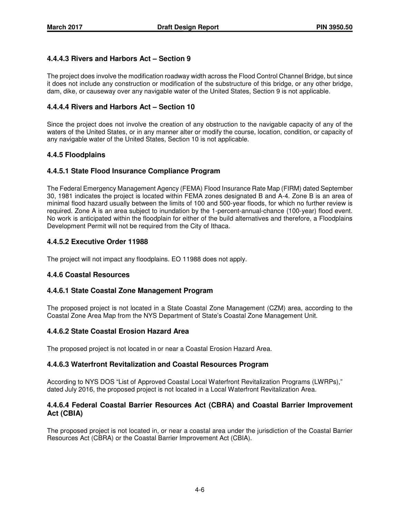## **4.4.4.3 Rivers and Harbors Act – Section 9**

The project does involve the modification roadway width across the Flood Control Channel Bridge, but since it does not include any construction or modification of the substructure of this bridge, or any other bridge, dam, dike, or causeway over any navigable water of the United States, Section 9 is not applicable.

## **4.4.4.4 Rivers and Harbors Act – Section 10**

Since the project does not involve the creation of any obstruction to the navigable capacity of any of the waters of the United States, or in any manner alter or modify the course, location, condition, or capacity of any navigable water of the United States, Section 10 is not applicable.

## **4.4.5 Floodplains**

## **4.4.5.1 State Flood Insurance Compliance Program**

The Federal Emergency Management Agency (FEMA) Flood Insurance Rate Map (FIRM) dated September 30, 1981 indicates the project is located within FEMA zones designated B and A-4. Zone B is an area of minimal flood hazard usually between the limits of 100 and 500-year floods, for which no further review is required. Zone A is an area subject to inundation by the 1-percent-annual-chance (100-year) flood event. No work is anticipated within the floodplain for either of the build alternatives and therefore, a Floodplains Development Permit will not be required from the City of Ithaca.

## **4.4.5.2 Executive Order 11988**

The project will not impact any floodplains. EO 11988 does not apply.

#### **4.4.6 Coastal Resources**

#### **4.4.6.1 State Coastal Zone Management Program**

The proposed project is not located in a State Coastal Zone Management (CZM) area, according to the Coastal Zone Area Map from the NYS Department of State's Coastal Zone Management Unit.

#### **4.4.6.2 State Coastal Erosion Hazard Area**

The proposed project is not located in or near a Coastal Erosion Hazard Area.

#### **4.4.6.3 Waterfront Revitalization and Coastal Resources Program**

According to NYS DOS "List of Approved Coastal Local Waterfront Revitalization Programs (LWRPs)," dated July 2016, the proposed project is not located in a Local Waterfront Revitalization Area.

#### **4.4.6.4 Federal Coastal Barrier Resources Act (CBRA) and Coastal Barrier Improvement Act (CBIA)**

The proposed project is not located in, or near a coastal area under the jurisdiction of the Coastal Barrier Resources Act (CBRA) or the Coastal Barrier Improvement Act (CBIA).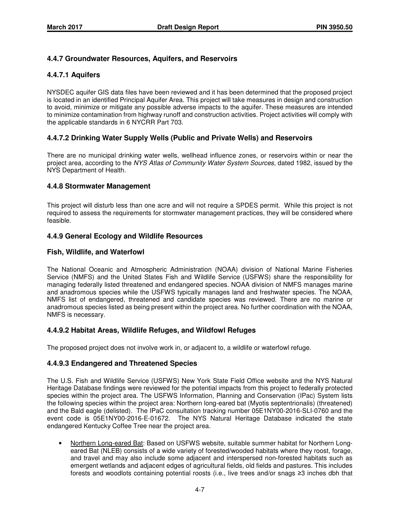## **4.4.7 Groundwater Resources, Aquifers, and Reservoirs**

## **4.4.7.1 Aquifers**

NYSDEC aquifer GIS data files have been reviewed and it has been determined that the proposed project is located in an identified Principal Aquifer Area. This project will take measures in design and construction to avoid, minimize or mitigate any possible adverse impacts to the aquifer. These measures are intended to minimize contamination from highway runoff and construction activities. Project activities will comply with the applicable standards in 6 NYCRR Part 703.

## **4.4.7.2 Drinking Water Supply Wells (Public and Private Wells) and Reservoirs**

There are no municipal drinking water wells, wellhead influence zones, or reservoirs within or near the project area, according to the NYS Atlas of Community Water System Sources, dated 1982, issued by the NYS Department of Health.

#### **4.4.8 Stormwater Management**

This project will disturb less than one acre and will not require a SPDES permit. While this project is not required to assess the requirements for stormwater management practices, they will be considered where feasible.

## **4.4.9 General Ecology and Wildlife Resources**

#### **Fish, Wildlife, and Waterfowl**

The National Oceanic and Atmospheric Administration (NOAA) division of National Marine Fisheries Service (NMFS) and the United States Fish and Wildlife Service (USFWS) share the responsibility for managing federally listed threatened and endangered species. NOAA division of NMFS manages marine and anadromous species while the USFWS typically manages land and freshwater species. The NOAA, NMFS list of endangered, threatened and candidate species was reviewed. There are no marine or anadromous species listed as being present within the project area. No further coordination with the NOAA, NMFS is necessary.

#### **4.4.9.2 Habitat Areas, Wildlife Refuges, and Wildfowl Refuges**

The proposed project does not involve work in, or adjacent to, a wildlife or waterfowl refuge.

#### **4.4.9.3 Endangered and Threatened Species**

The U.S. Fish and Wildlife Service (USFWS) New York State Field Office website and the NYS Natural Heritage Database findings were reviewed for the potential impacts from this project to federally protected species within the project area. The USFWS Information, Planning and Conservation (IPac) System lists the following species within the project area: Northern long-eared bat (Myotis septentrionalis) (threatened) and the Bald eagle (delisted). The IPaC consultation tracking number 05E1NY00-2016-SLI-0760 and the event code is 05E1NY00-2016-E-01672. The NYS Natural Heritage Database indicated the state endangered Kentucky Coffee Tree near the project area.

• Northern Long-eared Bat: Based on USFWS website, suitable summer habitat for Northern Longeared Bat (NLEB) consists of a wide variety of forested/wooded habitats where they roost, forage, and travel and may also include some adjacent and interspersed non-forested habitats such as emergent wetlands and adjacent edges of agricultural fields, old fields and pastures. This includes forests and woodlots containing potential roosts (i.e., live trees and/or snags  $\geq 3$  inches dbh that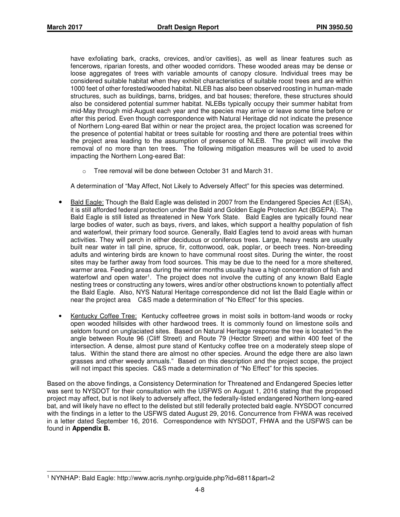have exfoliating bark, cracks, crevices, and/or cavities), as well as linear features such as fencerows, riparian forests, and other wooded corridors. These wooded areas may be dense or loose aggregates of trees with variable amounts of canopy closure. Individual trees may be considered suitable habitat when they exhibit characteristics of suitable roost trees and are within 1000 feet of other forested/wooded habitat. NLEB has also been observed roosting in human-made structures, such as buildings, barns, bridges, and bat houses; therefore, these structures should also be considered potential summer habitat. NLEBs typically occupy their summer habitat from mid-May through mid-August each year and the species may arrive or leave some time before or after this period. Even though correspondence with Natural Heritage did not indicate the presence of Northern Long-eared Bat within or near the project area, the project location was screened for the presence of potential habitat or trees suitable for roosting and there are potential trees within the project area leading to the assumption of presence of NLEB. The project will involve the removal of no more than ten trees. The following mitigation measures will be used to avoid impacting the Northern Long-eared Bat:

o Tree removal will be done between October 31 and March 31.

A determination of "May Affect, Not Likely to Adversely Affect" for this species was determined.

- Bald Eagle: Though the Bald Eagle was delisted in 2007 from the Endangered Species Act (ESA), it is still afforded federal protection under the Bald and Golden Eagle Protection Act (BGEPA). The Bald Eagle is still listed as threatened in New York State. Bald Eagles are typically found near large bodies of water, such as bays, rivers, and lakes, which support a healthy population of fish and waterfowl, their primary food source. Generally, Bald Eagles tend to avoid areas with human activities. They will perch in either deciduous or coniferous trees. Large, heavy nests are usually built near water in tall pine, spruce, fir, cottonwood, oak, poplar, or beech trees. Non-breeding adults and wintering birds are known to have communal roost sites. During the winter, the roost sites may be farther away from food sources. This may be due to the need for a more sheltered, warmer area. Feeding areas during the winter months usually have a high concentration of fish and waterfowl and open water<sup>1</sup>. The project does not involve the cutting of any known Bald Eagle nesting trees or constructing any towers, wires and/or other obstructions known to potentially affect the Bald Eagle. Also, NYS Natural Heritage correspondence did not list the Bald Eagle within or near the project area C&S made a determination of "No Effect" for this species.
- Kentucky Coffee Tree: Kentucky coffeetree grows in moist soils in bottom-land woods or rocky open wooded hillsides with other hardwood trees. It is commonly found on limestone soils and seldom found on unglaciated sites. Based on Natural Heritage response the tree is located "in the angle between Route 96 (Cliff Street) and Route 79 (Hector Street) and within 400 feet of the intersection. A dense, almost pure stand of Kentucky coffee tree on a moderately steep slope of talus. Within the stand there are almost no other species. Around the edge there are also lawn grasses and other weedy annuals." Based on this description and the project scope, the project will not impact this species. C&S made a determination of "No Effect" for this species.

Based on the above findings, a Consistency Determination for Threatened and Endangered Species letter was sent to NYSDOT for their consultation with the USFWS on August 1, 2016 stating that the proposed project may affect, but is not likely to adversely affect, the federally-listed endangered Northern long-eared bat, and will likely have no effect to the delisted but still federally protected bald eagle. NYSDOT concurred with the findings in a letter to the USFWS dated August 29, 2016. Concurrence from FHWA was received in a letter dated September 16, 2016. Correspondence with NYSDOT, FHWA and the USFWS can be found in **Appendix B.** 

<sup>-</sup>1 NYNHAP: Bald Eagle: http://www.acris.nynhp.org/guide.php?id=6811&part=2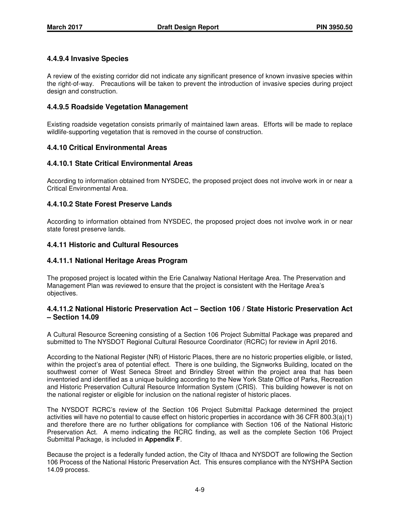## **4.4.9.4 Invasive Species**

A review of the existing corridor did not indicate any significant presence of known invasive species within the right-of-way. Precautions will be taken to prevent the introduction of invasive species during project design and construction.

### **4.4.9.5 Roadside Vegetation Management**

Existing roadside vegetation consists primarily of maintained lawn areas. Efforts will be made to replace wildlife-supporting vegetation that is removed in the course of construction.

## **4.4.10 Critical Environmental Areas**

## **4.4.10.1 State Critical Environmental Areas**

According to information obtained from NYSDEC, the proposed project does not involve work in or near a Critical Environmental Area.

## **4.4.10.2 State Forest Preserve Lands**

According to information obtained from NYSDEC, the proposed project does not involve work in or near state forest preserve lands.

#### **4.4.11 Historic and Cultural Resources**

#### **4.4.11.1 National Heritage Areas Program**

The proposed project is located within the Erie Canalway National Heritage Area. The Preservation and Management Plan was reviewed to ensure that the project is consistent with the Heritage Area's objectives.

### **4.4.11.2 National Historic Preservation Act – Section 106 / State Historic Preservation Act – Section 14.09**

A Cultural Resource Screening consisting of a Section 106 Project Submittal Package was prepared and submitted to The NYSDOT Regional Cultural Resource Coordinator (RCRC) for review in April 2016.

According to the National Register (NR) of Historic Places, there are no historic properties eligible, or listed, within the project's area of potential effect. There is one building, the Signworks Building, located on the southwest corner of West Seneca Street and Brindley Street within the project area that has been inventoried and identified as a unique building according to the New York State Office of Parks, Recreation and Historic Preservation Cultural Resource Information System (CRIS). This building however is not on the national register or eligible for inclusion on the national register of historic places.

The NYSDOT RCRC's review of the Section 106 Project Submittal Package determined the project activities will have no potential to cause effect on historic properties in accordance with 36 CFR 800.3(a)(1) and therefore there are no further obligations for compliance with Section 106 of the National Historic Preservation Act. A memo indicating the RCRC finding, as well as the complete Section 106 Project Submittal Package, is included in **Appendix F**.

Because the project is a federally funded action, the City of Ithaca and NYSDOT are following the Section 106 Process of the National Historic Preservation Act. This ensures compliance with the NYSHPA Section 14.09 process.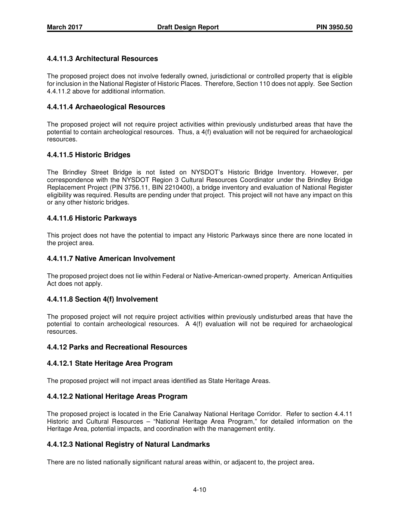## **4.4.11.3 Architectural Resources**

The proposed project does not involve federally owned, jurisdictional or controlled property that is eligible for inclusion in the National Register of Historic Places. Therefore, Section 110 does not apply. See Section 4.4.11.2 above for additional information.

## **4.4.11.4 Archaeological Resources**

The proposed project will not require project activities within previously undisturbed areas that have the potential to contain archeological resources. Thus, a 4(f) evaluation will not be required for archaeological resources.

## **4.4.11.5 Historic Bridges**

The Brindley Street Bridge is not listed on NYSDOT's Historic Bridge Inventory. However, per correspondence with the NYSDOT Region 3 Cultural Resources Coordinator under the Brindley Bridge Replacement Project (PIN 3756.11, BIN 2210400), a bridge inventory and evaluation of National Register eligibility was required. Results are pending under that project. This project will not have any impact on this or any other historic bridges.

## **4.4.11.6 Historic Parkways**

This project does not have the potential to impact any Historic Parkways since there are none located in the project area.

#### **4.4.11.7 Native American Involvement**

The proposed project does not lie within Federal or Native-American-owned property. American Antiquities Act does not apply.

#### **4.4.11.8 Section 4(f) Involvement**

The proposed project will not require project activities within previously undisturbed areas that have the potential to contain archeological resources. A 4(f) evaluation will not be required for archaeological resources.

#### **4.4.12 Parks and Recreational Resources**

#### **4.4.12.1 State Heritage Area Program**

The proposed project will not impact areas identified as State Heritage Areas.

#### **4.4.12.2 National Heritage Areas Program**

The proposed project is located in the Erie Canalway National Heritage Corridor. Refer to section 4.4.11 Historic and Cultural Resources – "National Heritage Area Program," for detailed information on the Heritage Area, potential impacts, and coordination with the management entity.

#### **4.4.12.3 National Registry of Natural Landmarks**

There are no listed nationally significant natural areas within, or adjacent to, the project area.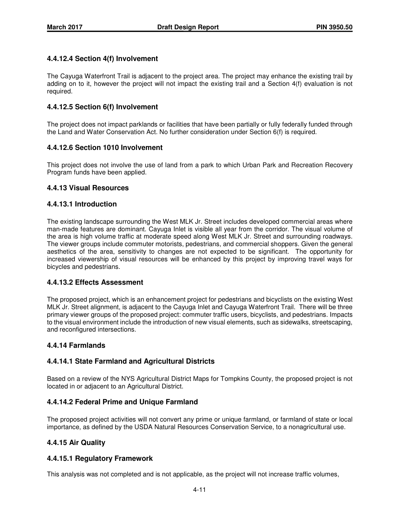## **4.4.12.4 Section 4(f) Involvement**

The Cayuga Waterfront Trail is adjacent to the project area. The project may enhance the existing trail by adding on to it, however the project will not impact the existing trail and a Section 4(f) evaluation is not required.

## **4.4.12.5 Section 6(f) Involvement**

The project does not impact parklands or facilities that have been partially or fully federally funded through the Land and Water Conservation Act. No further consideration under Section 6(f) is required.

## **4.4.12.6 Section 1010 Involvement**

This project does not involve the use of land from a park to which Urban Park and Recreation Recovery Program funds have been applied.

#### **4.4.13 Visual Resources**

#### **4.4.13.1 Introduction**

The existing landscape surrounding the West MLK Jr. Street includes developed commercial areas where man-made features are dominant. Cayuga Inlet is visible all year from the corridor. The visual volume of the area is high volume traffic at moderate speed along West MLK Jr. Street and surrounding roadways. The viewer groups include commuter motorists, pedestrians, and commercial shoppers. Given the general aesthetics of the area, sensitivity to changes are not expected to be significant. The opportunity for increased viewership of visual resources will be enhanced by this project by improving travel ways for bicycles and pedestrians.

#### **4.4.13.2 Effects Assessment**

The proposed project, which is an enhancement project for pedestrians and bicyclists on the existing West MLK Jr. Street alignment, is adjacent to the Cayuga Inlet and Cayuga Waterfront Trail. There will be three primary viewer groups of the proposed project: commuter traffic users, bicyclists, and pedestrians. Impacts to the visual environment include the introduction of new visual elements, such as sidewalks, streetscaping, and reconfigured intersections.

#### **4.4.14 Farmlands**

## **4.4.14.1 State Farmland and Agricultural Districts**

Based on a review of the NYS Agricultural District Maps for Tompkins County, the proposed project is not located in or adjacent to an Agricultural District.

#### **4.4.14.2 Federal Prime and Unique Farmland**

The proposed project activities will not convert any prime or unique farmland, or farmland of state or local importance, as defined by the USDA Natural Resources Conservation Service, to a nonagricultural use.

#### **4.4.15 Air Quality**

#### **4.4.15.1 Regulatory Framework**

This analysis was not completed and is not applicable, as the project will not increase traffic volumes,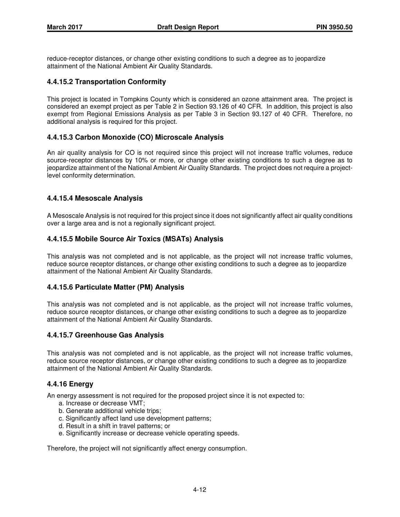reduce-receptor distances, or change other existing conditions to such a degree as to jeopardize attainment of the National Ambient Air Quality Standards.

## **4.4.15.2 Transportation Conformity**

This project is located in Tompkins County which is considered an ozone attainment area. The project is considered an exempt project as per Table 2 in Section 93.126 of 40 CFR. In addition, this project is also exempt from Regional Emissions Analysis as per Table 3 in Section 93.127 of 40 CFR. Therefore, no additional analysis is required for this project.

## **4.4.15.3 Carbon Monoxide (CO) Microscale Analysis**

An air quality analysis for CO is not required since this project will not increase traffic volumes, reduce source-receptor distances by 10% or more, or change other existing conditions to such a degree as to jeopardize attainment of the National Ambient Air Quality Standards. The project does not require a projectlevel conformity determination.

## **4.4.15.4 Mesoscale Analysis**

A Mesoscale Analysis is not required for this project since it does not significantly affect air quality conditions over a large area and is not a regionally significant project.

## **4.4.15.5 Mobile Source Air Toxics (MSATs) Analysis**

This analysis was not completed and is not applicable, as the project will not increase traffic volumes, reduce source receptor distances, or change other existing conditions to such a degree as to jeopardize attainment of the National Ambient Air Quality Standards.

#### **4.4.15.6 Particulate Matter (PM) Analysis**

This analysis was not completed and is not applicable, as the project will not increase traffic volumes, reduce source receptor distances, or change other existing conditions to such a degree as to jeopardize attainment of the National Ambient Air Quality Standards.

#### **4.4.15.7 Greenhouse Gas Analysis**

This analysis was not completed and is not applicable, as the project will not increase traffic volumes, reduce source receptor distances, or change other existing conditions to such a degree as to jeopardize attainment of the National Ambient Air Quality Standards.

#### **4.4.16 Energy**

An energy assessment is not required for the proposed project since it is not expected to:

- a. Increase or decrease VMT;
- b. Generate additional vehicle trips;
- c. Significantly affect land use development patterns;
- d. Result in a shift in travel patterns; or
- e. Significantly increase or decrease vehicle operating speeds.

Therefore, the project will not significantly affect energy consumption.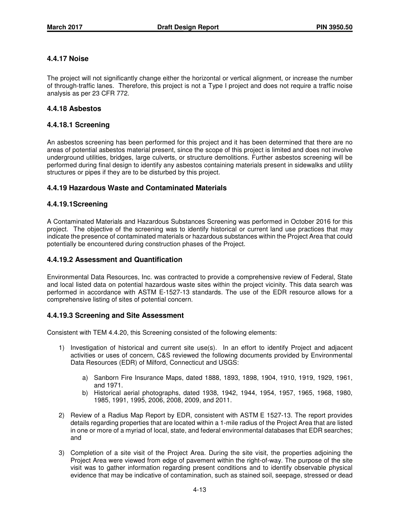## **4.4.17 Noise**

The project will not significantly change either the horizontal or vertical alignment, or increase the number of through-traffic lanes. Therefore, this project is not a Type I project and does not require a traffic noise analysis as per 23 CFR 772.

#### **4.4.18 Asbestos**

### **4.4.18.1 Screening**

An asbestos screening has been performed for this project and it has been determined that there are no areas of potential asbestos material present, since the scope of this project is limited and does not involve underground utilities, bridges, large culverts, or structure demolitions. Further asbestos screening will be performed during final design to identify any asbestos containing materials present in sidewalks and utility structures or pipes if they are to be disturbed by this project.

#### **4.4.19 Hazardous Waste and Contaminated Materials**

#### **4.4.19.1Screening**

A Contaminated Materials and Hazardous Substances Screening was performed in October 2016 for this project. The objective of the screening was to identify historical or current land use practices that may indicate the presence of contaminated materials or hazardous substances within the Project Area that could potentially be encountered during construction phases of the Project.

#### **4.4.19.2 Assessment and Quantification**

Environmental Data Resources, Inc. was contracted to provide a comprehensive review of Federal, State and local listed data on potential hazardous waste sites within the project vicinity. This data search was performed in accordance with ASTM E-1527-13 standards. The use of the EDR resource allows for a comprehensive listing of sites of potential concern.

#### **4.4.19.3 Screening and Site Assessment**

Consistent with TEM 4.4.20, this Screening consisted of the following elements:

- 1) Investigation of historical and current site use(s). In an effort to identify Project and adjacent activities or uses of concern, C&S reviewed the following documents provided by Environmental Data Resources (EDR) of Milford, Connecticut and USGS:
	- a) Sanborn Fire Insurance Maps, dated 1888, 1893, 1898, 1904, 1910, 1919, 1929, 1961, and 1971.
	- b) Historical aerial photographs, dated 1938, 1942, 1944, 1954, 1957, 1965, 1968, 1980, 1985, 1991, 1995, 2006, 2008, 2009, and 2011.
- 2) Review of a Radius Map Report by EDR, consistent with ASTM E 1527-13. The report provides details regarding properties that are located within a 1-mile radius of the Project Area that are listed in one or more of a myriad of local, state, and federal environmental databases that EDR searches; and
- 3) Completion of a site visit of the Project Area. During the site visit, the properties adjoining the Project Area were viewed from edge of pavement within the right-of-way. The purpose of the site visit was to gather information regarding present conditions and to identify observable physical evidence that may be indicative of contamination, such as stained soil, seepage, stressed or dead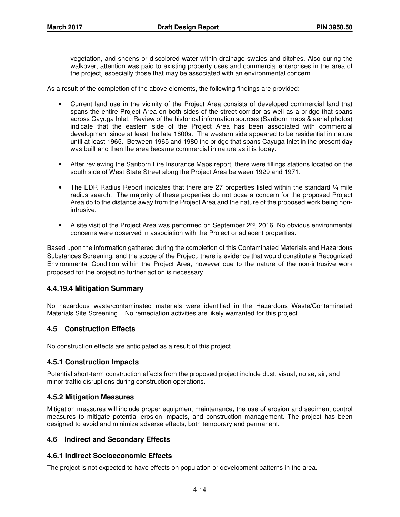vegetation, and sheens or discolored water within drainage swales and ditches. Also during the walkover, attention was paid to existing property uses and commercial enterprises in the area of the project, especially those that may be associated with an environmental concern.

As a result of the completion of the above elements, the following findings are provided:

- Current land use in the vicinity of the Project Area consists of developed commercial land that spans the entire Project Area on both sides of the street corridor as well as a bridge that spans across Cayuga Inlet. Review of the historical information sources (Sanborn maps & aerial photos) indicate that the eastern side of the Project Area has been associated with commercial development since at least the late 1800s. The western side appeared to be residential in nature until at least 1965. Between 1965 and 1980 the bridge that spans Cayuga Inlet in the present day was built and then the area became commercial in nature as it is today.
- After reviewing the Sanborn Fire Insurance Maps report, there were fillings stations located on the south side of West State Street along the Project Area between 1929 and 1971.
- The EDR Radius Report indicates that there are 27 properties listed within the standard ¼ mile radius search. The majority of these properties do not pose a concern for the proposed Project Area do to the distance away from the Project Area and the nature of the proposed work being nonintrusive.
- A site visit of the Project Area was performed on September  $2^{nd}$ , 2016. No obvious environmental concerns were observed in association with the Project or adjacent properties.

Based upon the information gathered during the completion of this Contaminated Materials and Hazardous Substances Screening, and the scope of the Project, there is evidence that would constitute a Recognized Environmental Condition within the Project Area, however due to the nature of the non-intrusive work proposed for the project no further action is necessary.

#### **4.4.19.4 Mitigation Summary**

No hazardous waste/contaminated materials were identified in the Hazardous Waste/Contaminated Materials Site Screening. No remediation activities are likely warranted for this project.

#### **4.5 Construction Effects**

No construction effects are anticipated as a result of this project.

#### **4.5.1 Construction Impacts**

Potential short-term construction effects from the proposed project include dust, visual, noise, air, and minor traffic disruptions during construction operations.

#### **4.5.2 Mitigation Measures**

Mitigation measures will include proper equipment maintenance, the use of erosion and sediment control measures to mitigate potential erosion impacts, and construction management. The project has been designed to avoid and minimize adverse effects, both temporary and permanent.

#### **4.6 Indirect and Secondary Effects**

#### **4.6.1 Indirect Socioeconomic Effects**

The project is not expected to have effects on population or development patterns in the area.